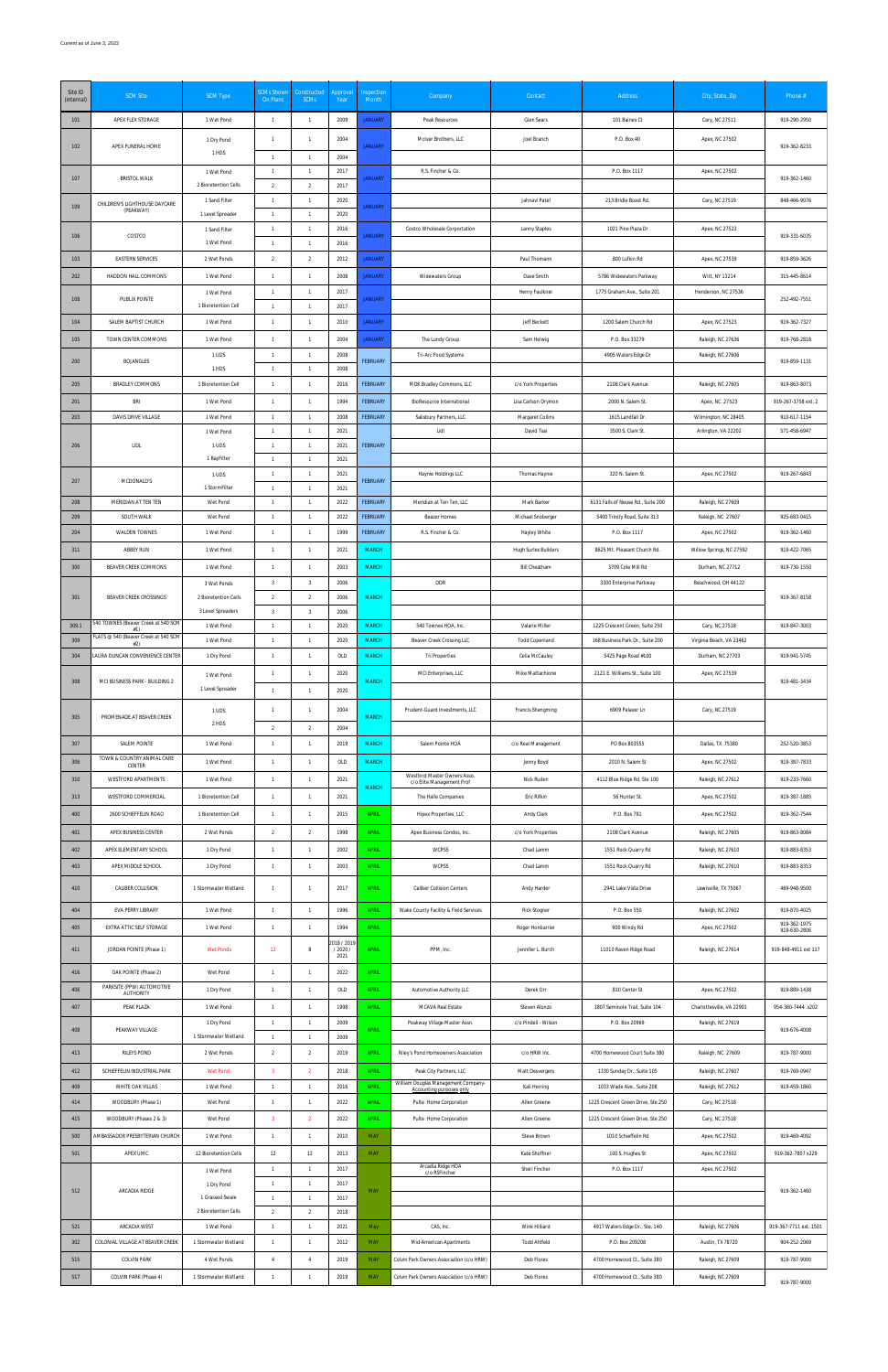| Site ID<br>(internal) | <b>SCM Site</b>                               | <b>SCM Type</b>                           | <b>SCMs Shown</b><br>On Plans             | Constructed<br><b>SCMs</b>       | Approval<br>Year | Inspection<br>Month                | Company                                                         | Contact                                 | Address                                                            | City, State, Zip                       | Phone #                      |
|-----------------------|-----------------------------------------------|-------------------------------------------|-------------------------------------------|----------------------------------|------------------|------------------------------------|-----------------------------------------------------------------|-----------------------------------------|--------------------------------------------------------------------|----------------------------------------|------------------------------|
| 101                   | APEX FLEX STORAGE                             | 1 Wet Pond                                | $\overline{1}$                            | $\mathbf{1}$                     | 2009             | <b>JANUARY</b>                     | Peak Resources                                                  | Glen Sears                              | 101 Baines Ct                                                      | Cary, NC 27511                         | 919-290-2950                 |
| 102                   | APEX FUNERAL HOME                             | 1 Dry Pond                                | 1                                         | $\mathbf{1}$                     | 2004             | <b>JANUARY</b>                     | McIver Brothers, LLC                                            | Joel Branch                             | P.O. Box 40                                                        | Apex, NC 27502                         | 919-362-8233                 |
|                       |                                               | 1 HDS                                     | $\overline{1}$                            | $\mathbf{1}$                     | 2004             |                                    |                                                                 |                                         |                                                                    |                                        |                              |
| 107                   | <b>BRISTOL WALK</b>                           | 1 Wet Pond<br>2 Bioretention Cells        | 1<br>$\overline{2}$                       | 1<br>$\overline{2}$              | 2017<br>2017     | <b>JANUARY</b>                     | R.S. Fincher & Co.                                              |                                         | P.O. Box 1117                                                      | Apex, NC 27502                         | 919-362-1460                 |
|                       | CHILDREN'S LIGHTHOUSE DAYCARE                 | 1 Sand Filter                             | $\overline{1}$                            | $\mathbf{1}$                     | 2020             |                                    |                                                                 | Jahnavi Patel                           | 213 Bridle Boast Rd.                                               | Cary, NC 27519                         | 848-466-9076                 |
| 109                   | (PEAKWAY)                                     | 1 Level Spreader                          | $\overline{1}$                            | $\mathbf{1}$                     | 2020             | <b>JANUARY</b>                     |                                                                 |                                         |                                                                    |                                        |                              |
| 106                   | COSTCO                                        | 1 Sand Filter<br>1 Wet Pond               | $\overline{1}$<br>$\overline{1}$          | $\mathbf{1}$<br>$\mathbf{1}$     | 2016<br>2016     | <b>JANUARY</b>                     | Costco Wholesale Corportation                                   | Lanny Staples                           | 1021 Pine Plaza Dr                                                 | Apex, NC 27523                         | 919-331-6035                 |
| 103                   | <b>EASTERN SERVICES</b>                       | 2 Wet Ponds                               | $\overline{2}$                            | $\overline{2}$                   | 2012             | <b>JANUARY</b>                     |                                                                 | Paul Thomann                            | 800 Lufkin Rd                                                      | Apex, NC 27539                         | 919-859-3626                 |
| 202                   | HADDON HALL COMMONS                           | 1 Wet Pond                                | $\overline{1}$                            | $\mathbf{1}$                     | 2008             | <b>JANUARY</b>                     | Widewaters Group                                                | Dave Smith                              | 5786 Widewaters Parkway                                            | Witt, NY 13214                         | 315-445-8614                 |
| 108                   | PUBLIX POINTE                                 | 1 Wet Pond                                | $\overline{1}$                            | $\mathbf{1}$                     | 2017             | <b>JANUARY</b>                     |                                                                 | Henry Faulkner                          | 1775 Graham Ave., Suite 201                                        | Henderson, NC 27536                    |                              |
|                       |                                               | 1 Bioretention Cell                       | $\mathbf{1}$                              | $\mathbf{1}$                     | 2017             |                                    |                                                                 |                                         |                                                                    |                                        | 252-492-7551                 |
| 104                   | SALEM BAPTIST CHURCH                          | 1 Wet Pond                                | $\overline{1}$                            | $\mathbf{1}$                     | 2010             | <b>JANUARY</b>                     |                                                                 | Jeff Beckett                            | 1200 Salem Church Rd                                               | Apex, NC 27523                         | 919-362-7327                 |
| 105                   | TOWN CENTER COMMONS                           | 1 Wet Pond                                | $\overline{1}$                            | $\mathbf{1}$<br>$\mathbf{1}$     | 2004             | <b>JANUARY</b>                     | The Lundy Group                                                 | Sam Helwig                              | P.O. Box 33279                                                     | Raleigh, NC 27636                      | 919-768-2818                 |
| 200                   | BOJANGLES                                     | 1 UDS<br>1 HDS                            | $\overline{1}$<br>$\overline{1}$          | $\mathbf{1}$                     | 2008<br>2008     | <b>FEBRUARY</b>                    | Tri-Arc Food Systems                                            |                                         | 4905 Waters Edge Dr                                                | Raleigh, NC 27606                      | 919-859-1131                 |
| 205                   | BRADLEY COMMONS                               | 1 Bioretention Cell                       | $\overline{1}$                            | $\mathbf{1}$                     | 2016             | <b>FEBRUARY</b>                    | MDK Bradley Commons, LLC                                        | c/o York Properties                     | 2108 Clark Avenue                                                  | Raleigh, NC 27605                      | 919-863-8073                 |
| 201                   | <b>BRI</b>                                    | 1 Wet Pond                                | $\overline{1}$                            | $\overline{1}$                   | 1994             | <b>FEBRUARY</b>                    | BioResource International                                       | Lisa Carlson Drymon                     | 2000 N. Salem St.                                                  | Apex, NC 27523                         | 919-267-3758 ext. 2          |
| 203                   | DAVIS DRIVE VILLAGE                           | 1 Wet Pond                                | $\overline{1}$                            | $\mathbf{1}$                     | 2008             | <b>FEBRUARY</b>                    | Salisbury Partners, LLC                                         | Margaret Collins                        | 1615 Landfall Dr.                                                  | Wilmington, NC 28405                   | 910-617-1154                 |
| 206                   | LIDL                                          | 1 Wet Pond<br>1 UDS                       | $\overline{1}$<br>$\overline{1}$          | $\mathbf{1}$<br>$\mathbf{1}$     | 2021<br>2021     | <b>FEBRUARY</b>                    | Lidl                                                            | David Tsai                              | 3500 S. Clark St.                                                  | Arlington, VA 22202                    | 571-458-6947                 |
|                       |                                               | 1 BayFilter                               | $\overline{1}$                            | $\mathbf{1}$                     | 2021             |                                    |                                                                 |                                         |                                                                    |                                        |                              |
| 207                   | MCDONALD'S                                    | 1 UDS                                     | $\mathbf{1}$                              | $\mathbf{1}$                     | 2021             | <b>FEBRUARY</b>                    | Haynie Holdings LLC                                             | Thomas Haynie                           | 320 N. Salem St.                                                   | Apex, NC 27502                         | 919-267-6843                 |
|                       |                                               | 1 StormFilter                             | $\overline{1}$<br>$\overline{1}$          | $\mathbf{1}$                     | 2021             |                                    |                                                                 |                                         |                                                                    |                                        |                              |
| 208<br>209            | MERIDIAN AT TEN TEN<br>SOUTH WALK             | Wet Pond<br>Wet Pond                      | $\overline{1}$                            | $\mathbf{1}$<br>$\mathbf{1}$     | 2022<br>2022     | <b>FEBRUARY</b><br><b>FEBRUARY</b> | Meridian at Ten Ten, LLC<br>Beazer Homes                        | Mark Barker<br>Michael Snoberger        | 6131 Falls of Neuse Rd., Suite 200<br>5400 Trinity Road, Suite 313 | Raleigh, NC 27609<br>Raleigh, NC 27607 | 925-683-0415                 |
| 204                   | WALDEN TOWNES                                 | 1 Wet Pond                                | $\overline{1}$                            | $\mathbf{1}$                     | 1999             | <b>FEBRUARY</b>                    | R.S. Fincher & Co.                                              | Hayley White                            | P.O. Box 1117                                                      | Apex, NC 27502                         | 919-362-1460                 |
| 311                   | ABBEY RUN                                     | 1 Wet Pond                                | $\overline{1}$                            | $\overline{1}$                   | 2021             | <b>MARCH</b>                       |                                                                 | Hugh Surles Builders                    | 8625 Mt. Pleasant Church Rd.                                       | Willow Springs, NC 27592               | 919-422-7065                 |
| 300                   | BEAVER CREEK COMMONS                          | 1 Wet Pond                                | $\overline{1}$                            | $\mathbf{1}$                     | 2003             | <b>MARCH</b>                       |                                                                 | <b>Bill Cheatham</b>                    | 3709 Cole Mill Rd                                                  | Durham, NC 27712                       | 919-730-1550                 |
|                       |                                               | 3 Wet Ponds                               | 3                                         | -3                               | 2006             |                                    | DDR                                                             |                                         | 3300 Enterprise Parkway                                            | Beachwood, OH 44122                    |                              |
| 301                   | BEAVER CREEK CROSSINGS                        | 2 Bioretention Cells<br>3 Level Spreaders | $\overline{2}$<br>$\overline{\mathbf{3}}$ | $\overline{2}$<br>$\overline{3}$ | 2006<br>2006     | <b>MARCH</b>                       |                                                                 |                                         |                                                                    |                                        | 919-367-8158                 |
| 309.1                 | 540 TOWNES (Beaver Creek at 540 SCM<br>#1)    | 1 Wet Pond                                | $\overline{1}$                            | $\mathbf{1}$                     | 2020             | <b>MARCH</b>                       | 540 Townes HOA, Inc.                                            | Valarie Miller                          | 1225 Crescent Green, Suite 250                                     | Cary, NC 27518                         | 919-847-3003                 |
| 309                   | FLATS @ 540 (Beaver Creek at 540 SCM<br>#2)   | 1 Wet Pond                                | $\overline{1}$                            | $\mathbf{1}$                     | 2020             | <b>MARCH</b>                       | Beaver Creek Crossing LLC                                       | <b>Todd Copenland</b>                   | 168 Business Park Dr., Suite 200                                   | Virginia Beach, VA 23462               |                              |
| 304                   | LAURA DUNCAN CONVENIENCE CENTER               | 1 Dry Pond                                | $\mathbf{1}$                              | $\mathbf{1}$                     | OLD              | <b>MARCH</b>                       | Tri Properties                                                  | Celia McCauley                          | 5425 Page Road #100                                                | Durham, NC 27703                       | 919-941-5745                 |
| 308                   | MCI BUSINESS PARK - BUILDING 2                | 1 Wet Pond                                | $\overline{1}$                            | $\mathbf{1}$                     | 2020             | <b>MARCH</b>                       | MCI Enterprises, LLC                                            | Mike Mattachione                        | 2121 E. Williams St., Suite 100                                    | Apex, NC 27539                         | 919-481-3434                 |
|                       |                                               | 1 Level Spreader                          | $\overline{1}$                            | $\mathbf{1}$                     | 2020             |                                    |                                                                 |                                         |                                                                    |                                        |                              |
| 305                   | PROMENADE AT BEAVER CREEK                     | 1 UDS<br>2 HDS                            | 1                                         | $\mathbf{1}$                     | 2004             | <b>MARCH</b>                       | Prudent-Guard Investments, LLC                                  | Francis Shengming                       | 6909 Palaver Ln                                                    | Cary, NC 27519                         |                              |
|                       |                                               |                                           | $\overline{2}$                            | $\overline{2}$                   | 2004             |                                    |                                                                 |                                         |                                                                    |                                        |                              |
| 307                   | SALEM POINTE<br>TOWN & COUNTRY ANIMAL CARE    | 1 Wet Pond                                | 1                                         | $\mathbf{1}$                     | 2019             | <b>MARCH</b>                       | Salem Pointe HOA                                                | c/o Real Management                     | PO Box 803555                                                      | Dallas, TX 75380                       | 252-520-3853                 |
| 306<br>310            | CENTER<br>WESTFORD APARTMENTS                 | 1 Wet Pond<br>1 Wet Pond                  | $\overline{1}$<br>$\overline{1}$          | $\mathbf{1}$<br>$\mathbf{1}$     | OLD<br>2021      | <b>MARCH</b>                       | Westford Master Owners Asso.                                    | Jenny Boyd<br>Nick Ruden                | 2010 N. Salem St<br>4112 Blue Ridge Rd. Ste 100                    | Apex, NC 27502<br>Raleigh, NC 27612    | 919-387-7833<br>919-233-7660 |
| 313                   | WESTFORD COMMERCIAL                           | 1 Bioretention Cell                       | $\overline{1}$                            | $\mathbf{1}$                     | 2021             | <b>MARCH</b>                       | c/o Elite Management Prof<br>The Halle Companies                | Eric Rifkin                             | 56 Hunter St.                                                      | Apex, NC 27502                         | 919-387-1885                 |
| 400                   | 2600 SCHIEFFELIN ROAD                         | 1 Bioretention Cell                       | $\mathbf{1}$                              | $\mathbf{1}$                     | 2015             | <b>APRIL</b>                       | Hipex Properties, LLC                                           | Andy Clark                              | P.O. Box 791                                                       | Apex, NC 27502                         | 919-362-7544                 |
| 401                   | APEX BUSINESS CENTER                          | 2 Wet Ponds                               | $\overline{2}$                            | $\overline{2}$                   | 1998             | <b>APRIL</b>                       | Apex Business Condos, Inc.                                      | c/o York Properties                     | 2108 Clark Avenue                                                  | Raleigh, NC 27605                      | 919-863-8084                 |
| 402                   | APEX ELEMENTARY SCHOOL                        | 1 Dry Pond                                | $\overline{1}$                            | $\mathbf{1}$                     | 2002             | <b>APRIL</b>                       | WCPSS                                                           | Chad Lamm                               | 1551 Rock Quarry Rd                                                | Raleigh, NC 27610                      | 919-883-8353                 |
| 403                   | APEX MIDDLE SCHOOL                            | 1 Dry Pond                                | $\overline{1}$                            | $\mathbf{1}$                     | 2003             | <b>APRIL</b>                       | WCPSS                                                           | Chad Lamm                               | 1551 Rock Quarry Rd                                                | Raleigh, NC 27610                      | 919-883-8353                 |
| 410                   | CALIBER COLLISION                             | 1 Stormwater Wetland                      | 1                                         | $\mathbf{1}$                     | 2017             | <b>APRIL</b>                       | <b>Caliber Collision Centers</b>                                | Andy Harder                             | 2941 Lake Vista Drive                                              | Lewisville, TX 75067                   | 469-948-9500                 |
|                       |                                               |                                           | $\overline{1}$                            | $\mathbf{1}$                     |                  |                                    |                                                                 |                                         |                                                                    |                                        |                              |
| 404<br>405            | EVA PERRY LIBRARY<br>EXTRA ATTIC SELF STORAGE | 1 Wet Pond<br>1 Wet Pond                  | $\overline{1}$                            | $\mathbf{1}$                     | 1996<br>1994     | <b>APRIL</b><br><b>APRIL</b>       | Wake County Facility & Field Services                           | <b>Rick Stogner</b><br>Roger Honbarrier | P.O. Box 550<br>900 Windy Rd                                       | Raleigh, NC 27602<br>Apex, NC 27502    | 919-870-4025<br>919-362-1975 |
|                       |                                               |                                           |                                           |                                  | 2018 / 2019      |                                    |                                                                 |                                         |                                                                    |                                        | 919-630-2806                 |
| 411                   | JORDAN POINTE (Phase 1)                       | <b>Wet Ponds</b>                          | 12                                        | 8                                | / 2020 /<br>2021 | <b>APRIL</b>                       | PPM, Inc.                                                       | Jennifer L. Burch                       | 11010 Raven Ridge Road                                             | Raleigh, NC 27614                      | 919-848-4911 ext 117         |
| 416                   | OAK POINTE (Phase 2)                          | Wet Pond                                  | $\mathbf{1}$                              | $\mathbf{1}$                     | 2022             | <b>APRIL</b>                       |                                                                 |                                         |                                                                    |                                        |                              |
| 406                   | PARKSITE (PPW) AUTOMOTIVE<br><b>AUTHORITY</b> | 1 Dry Pond                                | $\overline{1}$                            | $\mathbf{1}$                     | OLD              | <b>APRIL</b>                       | Automotive Authority LLC                                        | Derek Orr                               | 810 Center St                                                      | Apex, NC 27502                         | 919-889-1438                 |
| 407                   | PEAK PLAZA                                    | 1 Wet Pond                                | $\overline{1}$                            | $\mathbf{1}$                     | 1998             | <b>APRIL</b>                       | MCAVA Real Estate                                               | Steven Alonzo                           | 1807 Seminole Trail, Suite 104                                     | Charlottesville, VA 22901              | 954-360-7444 x202            |
| 408                   | PEAKWAY VILLAGE                               | 1 Dry Pond<br>1 Stormwater Wetland        | $\overline{1}$<br>$\overline{1}$          | $\mathbf{1}$<br>$\mathbf{1}$     | 2009<br>2009     | <b>APRIL</b>                       | Peakway Village Master Assn.                                    | c/o Pindell - Wilson                    | P.O. Box 20969                                                     | Raleigh, NC 27619                      | 919-676-4008                 |
| 413                   | RILEYS POND                                   | 2 Wet Ponds                               | $\overline{2}$                            | $\overline{2}$                   | 2019             | <b>APRIL</b>                       | Riley's Pond Homeowners Association                             | c/o HRW Inc.                            | 4700 Homewood Court Suite 380                                      | Raleigh, NC 27609                      | 919-787-9000                 |
| 412                   | SCHIEFFELIN INDUSTRIAL PARK                   | <b>Wet Pond</b>                           | $\overline{\mathbf{3}}$                   | $\overline{2}$                   | 2018             | <b>APRIL</b>                       | Peak City Partners, LLC                                         | Matt Desvergers                         | 1330 Sunday Dr., Suite 105                                         | Raleigh, NC 27607                      | 919-769-0947                 |
| 409                   | WHITE OAK VILLAS                              | 1 Wet Pond                                |                                           |                                  | 2016             | <b>APRIL</b>                       | William Douglas Management Company-<br>Accounting purposes only | Kali Herring                            | 1033 Wade Ave., Suite 208                                          | Raleigh, NC 27612                      | 919-459-1860                 |
| 414                   | WOODBURY (Phase 1)                            | Wet Pond                                  | $\overline{1}$                            | $\mathbf{1}$                     | 2022             | <b>APRIL</b>                       | Pulte Home Corporation                                          | Allen Greene                            | 1225 Crescent Green Drive, Ste 250                                 | Cary, NC 27518                         |                              |
| 415                   | WOODBURY (Phases 2 & 3)                       | Wet Pond                                  | $\overline{\mathbf{3}}$                   | $\overline{2}$                   | 2022             | <b>APRIL</b>                       | Pulte Home Corporation                                          | Allen Greene                            | 1225 Crescent Green Drive, Ste 250                                 | Cary, NC 27518                         |                              |
| 500                   | AMBASSADOR PRESBYTERIAN CHURCH                | 1 Wet Pond                                | $\overline{1}$                            | $\mathbf{1}$                     | 2010             | <b>MAY</b>                         |                                                                 | Steve Brown                             | 1010 Schieffelin Rd                                                | Apex, NC 27502                         | 919-469-4092                 |
| 501                   | APEX UMC                                      | 12 Bioretention Cells                     | 12<br>$\overline{1}$                      | 12<br>$\mathbf{1}$               | 2013<br>2017     | MAY                                | Arcadia Ridge HOA                                               | Kate Shoffner<br>Sheri Fincher          | 100 S. Hughes St<br>P.O. Box 1117                                  | Apex, NC 27502<br>Apex, NC 27502       | 919-362-7807 x229            |
|                       |                                               | 1 Wet Pond<br>1 Dry Pond                  | $\overline{1}$                            | $\mathbf{1}$                     | 2017             |                                    | c/o RSFincher                                                   |                                         |                                                                    |                                        |                              |
| 512                   | ARCADIA RIDGE                                 | 1 Grassed Swale                           | $\overline{1}$                            | $\mathbf{1}$                     | 2017             | MAY                                |                                                                 |                                         |                                                                    |                                        | 919-362-1460                 |
|                       | ARCADIA WEST                                  | 2 Bioretention Cells                      | $\overline{2}$<br>$\overline{1}$          | $\overline{2}$<br>$\mathbf{1}$   | 2018             |                                    | CAS, Inc.                                                       | Wink Hilliard                           |                                                                    |                                        | 919-367-7711 ext. 1501       |
| 521<br>302            | COLONIAL VILLAGE AT BEAVER CREEK              | 1 Wet Pond<br>1 Stormwater Wetland        | $\overline{1}$                            | $\mathbf{1}$                     | 2021<br>2012     | May<br>MAY                         | Mid-American Apartments                                         | <b>Todd Ahlfeld</b>                     | 4917 Waters Edge Dr., Ste. 140<br>P.O. Box 209208                  | Raleigh, NC 27606<br>Austin, TX 78720  | 904-252-2069                 |
| 515                   | <b>COLVIN PARK</b>                            | 4 Wet Ponds                               | $\overline{4}$                            | $\overline{4}$                   | 2019             | MAY                                | Colvin Park Owners Association (c/o HRW)                        | Deb Flores                              | 4700 Homewood Ct., Suite 380                                       | Raleigh, NC 27609                      | 919-787-9000                 |
| 517                   | COLVIN PARK (Phase 4)                         | 1 Stormwater Wetland                      | $\overline{1}$                            | $\mathbf{1}$                     | 2019             | MAY                                | Colvin Park Owners Association (c/o HRW)                        | Deb Flores                              | 4700 Homewood Ct., Suite 380                                       | Raleigh, NC 27609                      | 919-787-9000                 |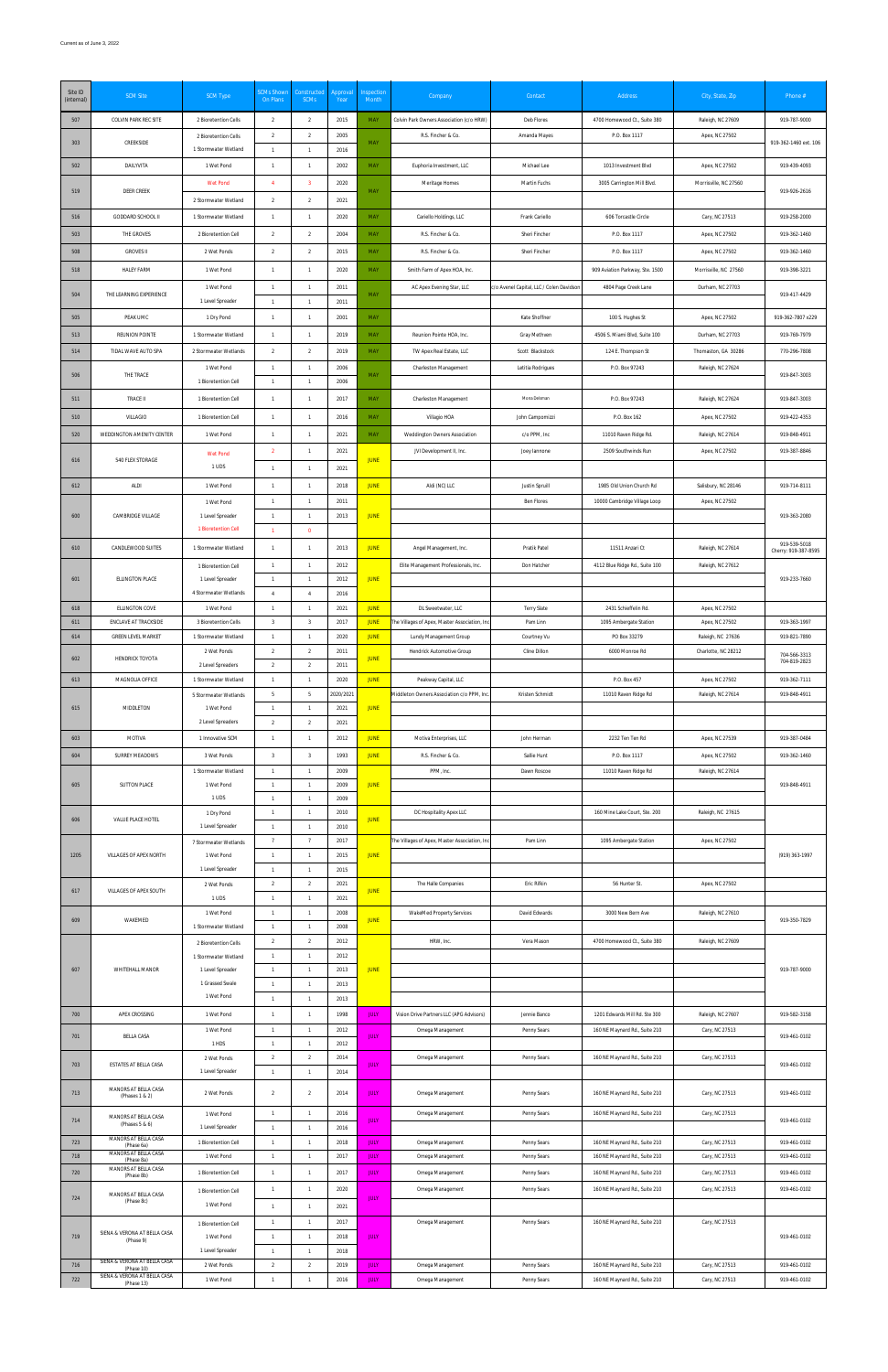| Site ID<br>(internal) | <b>SCM Site</b>                                            | <b>SCM Type</b>                              | <b>SCMs Shown</b><br>On Plans    | Constructed<br><b>SCMs</b>       | Approval<br>Year | Inspection<br>Month        | Company                                       | Contact                                  | Address                               | City, State, Zip                    | Phone #                              |
|-----------------------|------------------------------------------------------------|----------------------------------------------|----------------------------------|----------------------------------|------------------|----------------------------|-----------------------------------------------|------------------------------------------|---------------------------------------|-------------------------------------|--------------------------------------|
| 507                   | COLVIN PARK REC SITE                                       | 2 Bioretention Cells                         | 2                                | 2                                | 2015             | MAY                        | Colvin Park Owners Association (c/o HRW)      | Deb Flores                               | 4700 Homewood Ct., Suite 380          | Raleigh, NC 27609                   | 919-787-9000                         |
| 303                   | CREEKSIDE                                                  | 2 Bioretention Cells                         | $\overline{2}$                   | $\overline{2}$                   | 2005             | MAY                        | R.S. Fincher & Co.                            | Amanda Mayes                             | P.O. Box 1117                         | Apex, NC 27502                      | 919-362-1460 ext. 106                |
|                       |                                                            | 1 Stormwater Wetland                         | $\overline{1}$                   | $\mathbf{1}$                     | 2016             |                            |                                               |                                          |                                       |                                     |                                      |
| 502                   | DAILYVITA                                                  | 1 Wet Pond                                   | $\overline{1}$                   | $\mathbf{1}$                     | 2002             | MAY                        | Euphoria Investment, LLC                      | Michael Lee                              | 1013 Investment Blvd                  | Apex, NC 27502                      | 919-439-4093                         |
| 519                   | DEER CREEK                                                 | Wet Pond                                     | $\overline{4}$                   | $\overline{\mathbf{3}}$          | 2020             | MAY                        | Meritage Homes                                | Martin Fuchs                             | 3005 Carrington Mill Blvd.            | Morrisville, NC 27560               | 919-926-2616                         |
|                       | GODDARD SCHOOL II                                          | 2 Stormwater Wetland                         | $\overline{2}$<br>$\overline{1}$ | $\overline{2}$<br>$\overline{1}$ | 2021<br>2020     | <b>MAY</b>                 |                                               | Frank Cariello                           | 606 Torcastle Circle                  |                                     | 919-258-2000                         |
| 516<br>503            | THE GROVES                                                 | 1 Stormwater Wetland<br>2 Bioretention Cell  | 2                                | $\overline{2}$                   | 2004             | <b>MAY</b>                 | Cariello Holdings, LLC<br>R.S. Fincher & Co.  | Sheri Fincher                            | P.O. Box 1117                         | Cary, NC 27513<br>Apex, NC 27502    | 919-362-1460                         |
| 508                   | <b>GROVES II</b>                                           | 2 Wet Ponds                                  | $\overline{2}$                   | $\overline{2}$                   | 2015             | MAY                        | R.S. Fincher & Co.                            | Sheri Fincher                            | P.O. Box 1117                         | Apex, NC 27502                      | 919-362-1460                         |
| 518                   | <b>HALEY FARM</b>                                          | 1 Wet Pond                                   | $\overline{1}$                   | $\mathbf{1}$                     | 2020             | <b>MAY</b>                 | Smith Farm of Apex HOA, Inc.                  |                                          | 909 Aviation Parkway, Ste. 1500       | Morrisville, NC 27560               | 919-398-3221                         |
|                       |                                                            | 1 Wet Pond                                   | $\overline{1}$                   | $\mathbf{1}$                     | 2011             |                            | AC Apex Evening Star, LLC                     | c/o Avenel Capital, LLC / Colen Davidsor | 4804 Page Creek Lane                  | Durham, NC 27703                    |                                      |
| 504                   | THE LEARNING EXPERIENCE                                    | 1 Level Spreader                             | $\overline{1}$                   | $\overline{1}$                   | 2011             | MAY                        |                                               |                                          |                                       |                                     | 919-417-4429                         |
| 505                   | PEAK UMC                                                   | 1 Dry Pond                                   | $\overline{1}$                   | $\mathbf{1}$                     | 2001             | <b>MAY</b>                 |                                               | Kate Shoffner                            | 100 S. Hughes St                      | Apex, NC 27502                      | 919-362-7807 x229                    |
| 513                   | <b>REUNION POINTE</b>                                      | 1 Stormwater Wetland                         | $\overline{1}$                   | $\mathbf{1}$                     | 2019             | MAY                        | Reunion Pointe HOA, Inc.                      | Gray Methven                             | 4506 S. Miami Blvd, Suite 100         | Durham, NC 27703                    | 919-769-7979                         |
| 514                   | TIDAL WAVE AUTO SPA                                        | 2 Stormwater Wetlands                        | $\overline{2}$                   | $\overline{2}$                   | 2019             | <b>MAY</b>                 | TW Apex Real Estate, LLC                      | Scott Blackstock                         | 124 E. Thompson St                    | Thomaston, GA 30286                 | 770-296-7808                         |
| 506                   | THE TRACE                                                  | 1 Wet Pond                                   | $\overline{1}$                   | $\overline{1}$                   | 2006             | MAY                        | Charleston Management                         | Letitia Rodrigues                        | P.O. Box 97243                        | Raleigh, NC 27624                   | 919-847-3003                         |
|                       |                                                            | 1 Bioretention Cell                          | $\overline{1}$                   | $\overline{1}$                   | 2006             |                            |                                               | Mona Delsman                             |                                       |                                     |                                      |
| 511                   | TRACE II                                                   | 1 Bioretention Cell                          | $\overline{1}$                   | $\overline{1}$                   | 2017             | MAY                        | Charleston Management                         |                                          | P.O. Box 97243                        | Raleigh, NC 27624                   | 919-847-3003                         |
| 510<br>520            | VILLAGIO<br>WEDDINGTON AMENITY CENTER                      | 1 Bioretention Cell<br>1 Wet Pond            | $\overline{1}$<br>$\overline{1}$ | $\overline{1}$<br>$\overline{1}$ | 2016<br>2021     | MAY<br>MAY                 | Villagio HOA<br>Weddington Owners Association | John Campomizzi<br>c/o PPM, Inc          | P.O. Box 162<br>11010 Raven Ridge Rd. | Apex, NC 27502<br>Raleigh, NC 27614 | 919-422-4353<br>919-848-4911         |
|                       |                                                            |                                              | $\overline{2}$                   | $\overline{1}$                   | 2021             |                            | JVI Development II, Inc.                      | Joey lannone                             | 2509 Southwinds Run                   | Apex, NC 27502                      | 919-387-8846                         |
| 616                   | 540 FLEX STORAGE                                           | Wet Pond<br>1 UDS                            | $\overline{1}$                   | $\mathbf{1}$                     | 2021             | <b>JUNE</b>                |                                               |                                          |                                       |                                     |                                      |
| 612                   | <b>ALDI</b>                                                | 1 Wet Pond                                   | $\mathbf{1}$                     | $\overline{1}$                   | 2018             | <b>JUNE</b>                | Aldi (NC) LLC                                 | Justin Spruill                           | 1985 Old Union Church Rd              | Salisbury, NC 28146                 | 919-714-8111                         |
|                       |                                                            | 1 Wet Pond                                   | $\mathbf{1}$                     | $\overline{1}$                   | 2011             |                            |                                               | Ben Flores                               | 10000 Cambridge Village Loop          | Apex, NC 27502                      |                                      |
| 600                   | CAMBRIDGE VILLAGE                                          | 1 Level Spreader                             | $\mathbf{1}$                     | $\mathbf{1}$                     | 2013             | <b>JUNE</b>                |                                               |                                          |                                       |                                     | 919-363-2080                         |
|                       |                                                            | 1 Bioretention Cell                          | $\overline{1}$                   | $\overline{\mathbf{0}}$          |                  |                            |                                               |                                          |                                       |                                     |                                      |
| 610                   | CANDLEWOOD SUITES                                          | 1 Stormwater Wetland                         | $\overline{1}$                   | $\overline{1}$                   | 2013             | <b>JUNE</b>                | Angel Management, Inc.                        | Pratik Patel                             | 11511 Anzari Ct                       | Raleigh, NC 27614                   | 919-539-5018<br>Cherry: 919-387-8595 |
|                       |                                                            | 1 Bioretention Cell                          | $\overline{1}$                   | $\overline{1}$                   | 2012             |                            | Elite Management Professionals, Inc.          | Don Hatcher                              | 4112 Blue Ridge Rd., Suite 100        | Raleigh, NC 27612                   |                                      |
| 601                   | ELLINGTON PLACE                                            | 1 Level Spreader<br>4 Stormwater Wetlands    | $\overline{1}$<br>$\overline{4}$ | $\overline{1}$<br>$\overline{4}$ | 2012<br>2016     | <b>JUNE</b>                |                                               |                                          |                                       |                                     | 919-233-7660                         |
| 618                   | ELLINGTON COVE                                             | 1 Wet Pond                                   | $\overline{1}$                   | $\overline{1}$                   | 2021             | <b>JUNE</b>                | DL Sweetwater, LLC                            | <b>Terry Slate</b>                       | 2431 Schieffelin Rd.                  | Apex, NC 27502                      |                                      |
| 611                   | ENCLAVE AT TRACKSIDE                                       | 3 Bioretention Cells                         | 3                                | $\overline{\mathbf{3}}$          | 2017             | <b>JUNE</b>                | The Villages of Apex, Master Association, In  | Pam Linn                                 | 1095 Ambergate Station                | Apex, NC 27502                      | 919-363-1997                         |
| 614                   | <b>GREEN LEVEL MARKET</b>                                  | 1 Stormwater Wetland                         | $\overline{1}$                   | $\mathbf{1}$                     | 2020             | <b>JUNE</b>                | Lundy Management Group                        | Courtney Vu                              | PO Box 33279                          | Raleigh, NC 27636                   | 919-821-7890                         |
| 602                   | HENDRICK TOYOTA                                            | 2 Wet Ponds<br>2 Level Spreaders             | 2<br>2                           | $\overline{2}$<br>$\overline{2}$ | 2011<br>2011     | <b>JUNE</b>                | Hendrick Automotive Group                     | Cline Dillon                             | 6000 Monroe Rd                        | Charlotte, NC 28212                 | 704-566-3313<br>704-819-2823         |
| 613                   | MAGNOLIA OFFICE                                            | 1 Stormwater Wetland                         | $\overline{1}$                   | $\mathbf{1}$                     | 2020             | <b>JUNE</b>                | Peakway Capital, LLC                          |                                          | P.O. Box 457                          | Apex, NC 27502                      | 919-362-7111                         |
|                       |                                                            | 5 Stormwater Wetlands                        | 5                                | $5\phantom{.0}$                  | 2020/2021        |                            | Middleton Owners Association c/o PPM, Ind     | Kristen Schmidt                          | 11010 Raven Ridge Rd                  | Raleigh, NC 27614                   | 919-848-4911                         |
| 615                   | MIDDLETON                                                  | 1 Wet Pond<br>2 Level Spreaders              | $\overline{1}$                   | $\mathbf{1}$                     | 2021             | <b>JUNE</b>                |                                               |                                          |                                       |                                     |                                      |
| 603                   | MOTIVA                                                     | 1 Innovative SCM                             | $\overline{2}$<br>$\overline{1}$ | $\overline{2}$<br>$\mathbf{1}$   | 2021<br>2012     | <b>JUNE</b>                | Motiva Enterprises, LLC                       | John Herman                              | 2232 Ten Ten Rd                       | Apex, NC 27539                      | 919-387-0484                         |
| 604                   | SURREY MEADOWS                                             | 3 Wet Ponds                                  | $\overline{3}$                   | $\overline{\mathbf{3}}$          | 1993             | <b>JUNE</b>                | R.S. Fincher & Co.                            | Sallie Hunt                              | P.O. Box 1117                         | Apex, NC 27502                      | 919-362-1460                         |
|                       |                                                            | 1 Stormwater Wetland                         | $\overline{1}$                   | $\overline{1}$                   | 2009             |                            | PPM, Inc.                                     | Dawn Roscoe                              | 11010 Raven Ridge Rd                  | Raleigh, NC 27614                   |                                      |
| 605                   | <b>SUTTON PLACE</b>                                        | 1 Wet Pond                                   | $\overline{1}$                   | $\mathbf{1}$                     | 2009             | <b>JUNE</b>                |                                               |                                          |                                       |                                     | 919-848-4911                         |
|                       |                                                            | 1 UDS                                        | $\overline{1}$                   | $\overline{1}$<br>$\overline{1}$ | 2009             |                            |                                               |                                          |                                       |                                     |                                      |
| 606                   | VALUE PLACE HOTEL                                          | 1 Dry Pond<br>1 Level Spreader               | $\overline{1}$<br>$\overline{1}$ | $\overline{1}$                   | 2010<br>2010     | <b>JUNE</b>                | DC Hospitality Apex LLC                       |                                          | 160 Mine Lake Court, Ste. 200         | Raleigh, NC 27615                   |                                      |
|                       |                                                            | 7 Stormwater Wetlands                        | $\overline{1}$                   | 7                                | 2017             |                            | The Villages of Apex, Master Association, In  | Pam Linn                                 | 1095 Ambergate Station                | Apex, NC 27502                      |                                      |
| 1205                  | VILLAGES OF APEX NORTH                                     | 1 Wet Pond                                   | $\overline{1}$                   | $\mathbf{1}$                     | 2015             | <b>JUNE</b>                |                                               |                                          |                                       |                                     | (919) 363-1997                       |
|                       |                                                            | 1 Level Spreader                             | $\overline{1}$<br>$\overline{2}$ | $\mathbf{1}$<br>$\overline{2}$   | 2015<br>2021     |                            | The Halle Companies                           | Eric Rifkin                              | 56 Hunter St.                         | Apex, NC 27502                      |                                      |
| 617                   | VILLAGES OF APEX SOUTH                                     | 2 Wet Ponds<br>1 UDS                         | $\overline{1}$                   | $\mathbf{1}$                     | 2021             | <b>JUNE</b>                |                                               |                                          |                                       |                                     |                                      |
|                       |                                                            | 1 Wet Pond                                   | $\overline{1}$                   | $\overline{1}$                   | 2008             |                            | WakeMed Property Services                     | David Edwards                            | 3000 New Bern Ave                     | Raleigh, NC 27610                   |                                      |
| 609                   | WAKEMED                                                    | 1 Stormwater Wetland                         | $\overline{1}$                   | $\overline{1}$                   | 2008             | <b>JUNE</b>                |                                               |                                          |                                       |                                     | 919-350-7829                         |
|                       |                                                            | 2 Bioretention Cells<br>1 Stormwater Wetland | $\overline{2}$<br>$\mathbf{1}$   | $\overline{2}$<br>$\mathbf{1}$   | 2012<br>2012     |                            | HRW, Inc.                                     | Vera Mason                               | 4700 Homewood Ct., Suite 380          | Raleigh, NC 27609                   |                                      |
| 607                   | WHITEHALL MANOR                                            | 1 Level Spreader                             | $\mathbf{1}$                     | $\overline{1}$                   | 2013             | <b>JUNE</b>                |                                               |                                          |                                       |                                     | 919-787-9000                         |
|                       |                                                            | 1 Grassed Swale                              | $\mathbf{1}$                     | $\overline{1}$                   | 2013             |                            |                                               |                                          |                                       |                                     |                                      |
|                       |                                                            | 1 Wet Pond                                   | $\overline{1}$                   | $\overline{1}$                   | 2013             |                            |                                               |                                          |                                       |                                     |                                      |
| 700                   | APEX CROSSING                                              | 1 Wet Pond                                   | $\overline{1}$                   | $\overline{1}$                   | 1998             | <b>JULY</b>                | Vision Drive Partners LLC (APG Advisors)      | Jennie Banco                             | 1201 Edwards Mill Rd. Ste 300         | Raleigh, NC 27607                   | 919-582-3158                         |
| 701                   | <b>BELLA CASA</b>                                          | 1 Wet Pond<br>1 HDS                          | $\overline{1}$<br>$\overline{1}$ | $\overline{1}$<br>$\overline{1}$ | 2012<br>2012     | <b>JULY</b>                | Omega Management                              | Penny Sears                              | 160 NE Maynard Rd., Suite 210         | Cary, NC 27513                      | 919-461-0102                         |
|                       |                                                            | 2 Wet Ponds                                  | $\overline{2}$                   | $\overline{2}$                   | 2014             |                            | Omega Management                              | Penny Sears                              | 160 NE Maynard Rd., Suite 210         | Cary, NC 27513                      |                                      |
| 703                   | ESTATES AT BELLA CASA                                      | 1 Level Spreader                             | $\mathbf{1}$                     | $\overline{1}$                   | 2014             | <b>JULY</b>                |                                               |                                          |                                       |                                     | 919-461-0102                         |
| 713                   | MANORS AT BELLA CASA<br>(Phases 1 & 2)                     | 2 Wet Ponds                                  | $\overline{2}$                   | $\overline{2}$                   | 2014             | <b>JULY</b>                | Omega Management                              | Penny Sears                              | 160 NE Maynard Rd., Suite 210         | Cary, NC 27513                      | 919-461-0102                         |
|                       | MANORS AT BELLA CASA                                       | 1 Wet Pond                                   | $\mathbf{1}$                     | $\mathbf{1}$                     | 2016             |                            | Omega Management                              | Penny Sears                              | 160 NE Maynard Rd., Suite 210         | Cary, NC 27513                      |                                      |
| 714                   | (Phases 5 & 6)                                             | 1 Level Spreader                             | $\mathbf{1}$                     | $\mathbf{1}$                     | 2016             | <b>JULY</b>                |                                               |                                          |                                       |                                     | 919-461-0102                         |
| 723                   | MANORS AT BELLA CASA<br>(Phase 6a)                         | 1 Bioretention Cell                          | $\mathbf{1}$                     | $\overline{1}$                   | 2018             | <b>JULY</b>                | Omega Management                              | Penny Sears                              | 160 NE Maynard Rd., Suite 210         | Cary, NC 27513                      | 919-461-0102                         |
| 718                   | MANORS AT BELLA CASA<br>(Phase 8a)<br>MANORS AT BELLA CASA | 1 Wet Pond                                   | $\overline{1}$                   | $\mathbf{1}$                     | 2017             | <b>JULY</b>                | Omega Management                              | Penny Sears                              | 160 NE Maynard Rd., Suite 210         | Cary, NC 27513                      | 919-461-0102                         |
| 720                   | (Phase 8b)                                                 | 1 Bioretention Cell                          | $\overline{1}$                   | $\mathbf{1}$                     | 2017             | <b>JULY</b>                | Omega Management                              | Penny Sears                              | 160 NE Maynard Rd., Suite 210         | Cary, NC 27513                      | 919-461-0102                         |
| 724                   | MANORS AT BELLA CASA<br>(Phase 8c)                         | 1 Bioretention Cell<br>1 Wet Pond            | $\overline{1}$<br>$\overline{1}$ | $\mathbf{1}$<br>$\overline{1}$   | 2020<br>2021     | <b>JULY</b>                | Omega Management                              | Penny Sears                              | 160 NE Maynard Rd., Suite 210         | Cary, NC 27513                      | 919-461-0102                         |
|                       |                                                            | 1 Bioretention Cell                          | $\mathbf{1}$                     | $\mathbf{1}$                     | 2017             |                            | Omega Management                              | Penny Sears                              | 160 NE Maynard Rd., Suite 210         | Cary, NC 27513                      |                                      |
| 719                   | SIENA & VERONA AT BELLA CASA<br>(Phase 9)                  | 1 Wet Pond                                   | $\overline{1}$                   | $\overline{1}$                   | 2018             | <b>JULY</b>                |                                               |                                          |                                       |                                     | 919-461-0102                         |
|                       | SIENA & VERONA AT BELLA CASA                               | 1 Level Spreader                             | $\overline{1}$                   | $\mathbf{1}$                     | 2018             |                            |                                               |                                          |                                       |                                     |                                      |
| 716                   | (Phase 10)<br>SIENA & VERONA AT BELLA CASA                 | 2 Wet Ponds<br>1 Wet Pond                    | $\overline{2}$<br>$\overline{1}$ | $\overline{2}$<br>$\mathbf{1}$   | 2019<br>2016     | <b>JULY</b><br><b>JULY</b> | Omega Management<br>Omega Management          | Penny Sears                              | 160 NE Maynard Rd., Suite 210         | Cary, NC 27513<br>Cary, NC 27513    | 919-461-0102<br>919-461-0102         |
| 722                   | (Phase 13)                                                 |                                              |                                  |                                  |                  |                            |                                               | Penny Sears                              | 160 NE Maynard Rd., Suite 210         |                                     |                                      |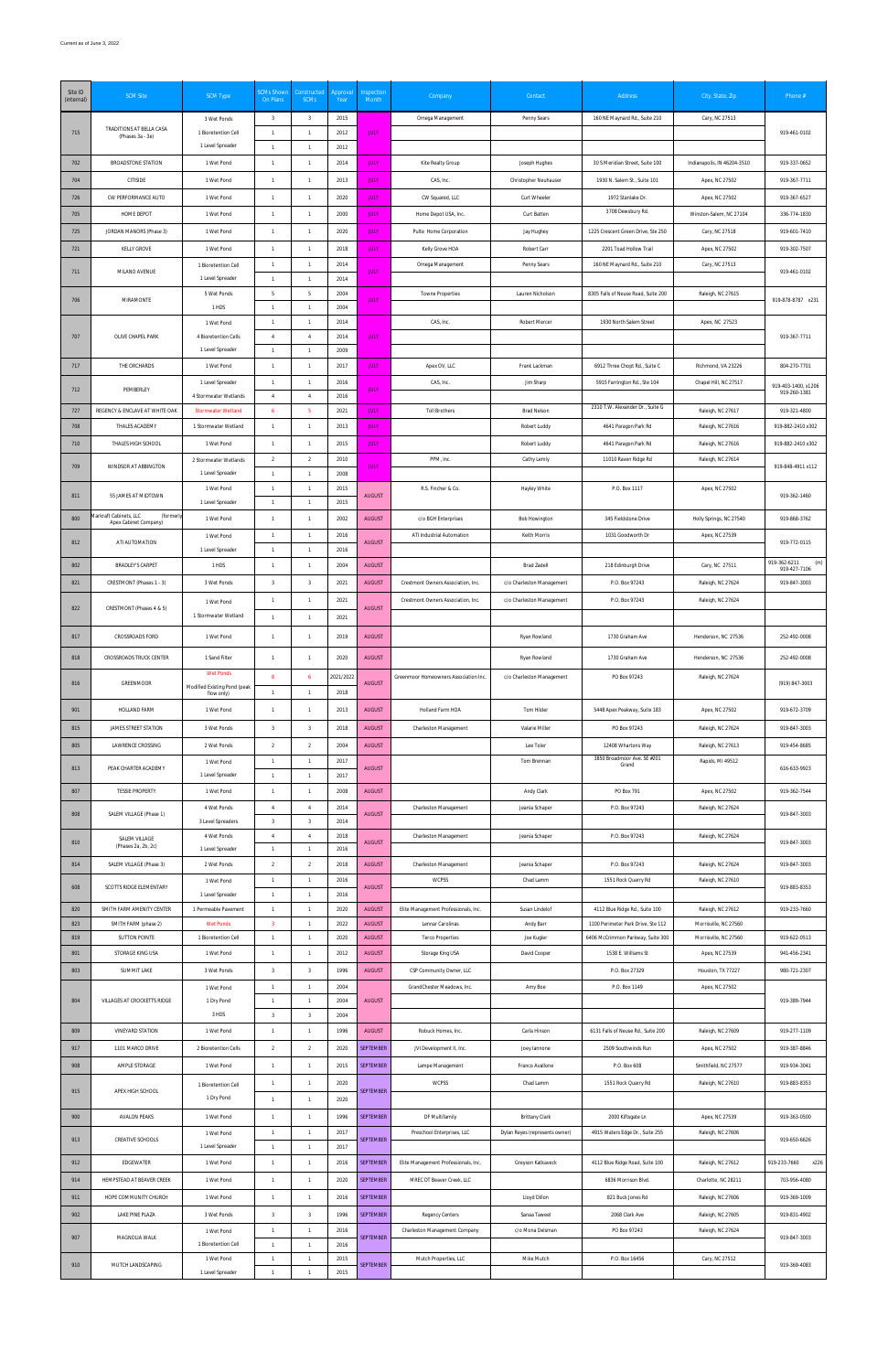| Site ID<br>(internal) | <b>SCM Site</b>                                   | <b>SCM Type</b>                                   | <b>SCMs Shown</b><br>On Plans             | Constructed<br>SCMs              | Approva<br>Year | Inspection<br>Month            | Company                                                  | Contact                            | Address                                                              | City, State, Zip                           | Phone #                             |
|-----------------------|---------------------------------------------------|---------------------------------------------------|-------------------------------------------|----------------------------------|-----------------|--------------------------------|----------------------------------------------------------|------------------------------------|----------------------------------------------------------------------|--------------------------------------------|-------------------------------------|
|                       |                                                   | 3 Wet Ponds                                       | $\overline{\mathbf{3}}$                   | 3                                | 2015            |                                | Omega Management                                         | Penny Sears                        | 160 NE Maynard Rd., Suite 210                                        | Cary, NC 27513                             |                                     |
| 715                   | TRADITIONS AT BELLA CASA<br>(Phases 3a - 3e)      | 1 Bioretention Cell<br>1 Level Spreader           | $\overline{1}$<br>$\overline{1}$          | $\mathbf{1}$<br>$\mathbf{1}$     | 2012<br>2012    | <b>JULY</b>                    |                                                          |                                    |                                                                      |                                            | 919-461-0102                        |
| 702                   | BROADSTONE STATION                                | 1 Wet Pond                                        | $\overline{1}$                            | $\mathbf{1}$                     | 2014            | <b>JULY</b>                    | Kite Realty Group                                        | Joseph Hughes                      | 30 S Meridian Street, Suite 100                                      | Indianapolis, IN 46204-3510                | 919-337-0652                        |
| 704                   | CITISIDE                                          | 1 Wet Pond                                        | $\overline{1}$                            | $\overline{1}$                   | 2013            | <b>JULY</b>                    | CAS, Inc.                                                | Christopher Neuhauser              | 1930 N. Salem St., Suite 101                                         | Apex, NC 27502                             | 919-367-7711                        |
| 726                   | CW PERFORMANCE AUTO                               | 1 Wet Pond                                        | $\overline{1}$                            | $\mathbf{1}$                     | 2020            | <b>JULY</b>                    | CW Squared, LLC                                          | Curt Wheeler                       | 1972 Stanlake Dr.                                                    | Apex, NC 27502                             | 919-367-6527                        |
| 705                   | HOME DEPOT                                        | 1 Wet Pond                                        | $\overline{1}$                            | $\overline{1}$                   | 2000            | <b>JULY</b>                    | Home Depot USA, Inc.                                     | Curt Batten                        | 3708 Dewsbury Rd.                                                    | Winston-Salem, NC 27104                    | 336-774-1830                        |
| 725                   | JORDAN MANORS (Phase 3)                           | 1 Wet Pond                                        | $\overline{1}$                            | $\mathbf{1}$                     | 2020            | <b>JULY</b>                    | Pulte Home Corporation                                   | Jay Hughey                         | 1225 Crescent Green Drive, Ste 250                                   | Cary, NC 27518                             | 919-601-7410                        |
| 721                   | KELLY GROVE                                       | 1 Wet Pond                                        | $\overline{1}$                            | $\mathbf{1}$                     | 2018            | <b>JULY</b>                    | Kelly Grove HOA                                          | Robert Carr                        | 2201 Toad Hollow Trail                                               | Apex, NC 27502                             | 919-302-7507                        |
| 711                   | MILANO AVENUE                                     | 1 Bioretention Cell<br>1 Level Spreader           | $\overline{1}$<br>$\overline{1}$          | $\mathbf{1}$<br>$\overline{1}$   | 2014<br>2014    | <b>JULY</b>                    | Omega Management                                         | Penny Sears                        | 160 NE Maynard Rd., Suite 210                                        | Cary, NC 27513                             | 919-461-0102                        |
|                       |                                                   | 5 Wet Ponds                                       | -5                                        | 5                                | 2004            |                                | Towne Properties                                         | Lauren Nicholson                   | 8305 Falls of Neuse Road, Suite 200                                  | Raleigh, NC 27615                          |                                     |
| 706                   | MIRAMONTE                                         | 1 HDS                                             | $\overline{1}$                            | $\mathbf{1}$                     | 2004            | <b>JULY</b>                    |                                                          |                                    |                                                                      |                                            | 919-878-8787 x231                   |
| 707                   | OLIVE CHAPEL PARK                                 | 1 Wet Pond<br>4 Bioretention Cells                | $\overline{1}$<br>$\overline{4}$          | $\mathbf{1}$<br>$\overline{4}$   | 2014<br>2014    | <b>JULY</b>                    | CAS, Inc.                                                | Robert Mercer                      | 1930 North Salem Street                                              | Apex, NC 27523                             | 919-367-7711                        |
|                       |                                                   | 1 Level Spreader                                  | $\overline{1}$                            | $\mathbf{1}$                     | 2009            |                                |                                                          |                                    |                                                                      |                                            |                                     |
| 717                   | THE ORCHARDS                                      | 1 Wet Pond                                        | $\overline{1}$                            | $\mathbf{1}$                     | 2017            | <b>JULY</b>                    | Apex OV, LLC                                             | Frank Lackman                      | 6912 Three Chopt Rd., Suite C                                        | Richmond, VA 23226                         | 804-270-7701                        |
| 712                   | PEMBERLEY                                         | 1 Level Spreader                                  | $\overline{1}$                            | $\mathbf{1}$                     | 2016            | <b>JULY</b>                    | CAS, Inc.                                                | Jim Sharp                          | 5915 Farrington Rd., Ste 104                                         | Chapel Hill, NC 27517                      | 919-403-1400, x1206                 |
|                       |                                                   | 4 Stormwater Wetlands                             | $\overline{4}$                            | $\overline{4}$                   | 2016            |                                |                                                          |                                    | 2310 T.W. Alexander Dr., Suite G                                     |                                            | 919-260-1381                        |
| 727<br>708            | REGENCY & ENCLAVE AT WHITE OAK<br>THALES ACADEMY  | <b>Stormwater Wetland</b><br>1 Stormwater Wetland | 6<br>$\overline{1}$                       | 5 <sub>5</sub><br>$\mathbf{1}$   | 2021<br>2013    | <b>JULY</b><br><b>JULY</b>     | <b>Toll Brothers</b>                                     | <b>Brad Nelson</b><br>Robert Luddy | 4641 Paragon Park Rd                                                 | Raleigh, NC 27617<br>Raleigh, NC 27616     | 919-321-4800<br>919-882-2410 x302   |
| 710                   | THALES HIGH SCHOOL                                | 1 Wet Pond                                        | $\overline{1}$                            | $\overline{1}$                   | 2015            | <b>JULY</b>                    |                                                          | Robert Luddy                       | 4641 Paragon Park Rd                                                 | Raleigh, NC 27616                          | 919-882-2410 x302                   |
|                       |                                                   | 2 Stormwater Wetlands                             | $\overline{2}$                            | $\overline{2}$                   | 2010            |                                | PPM, Inc.                                                | Cathy Lemly                        | 11010 Raven Ridge Rd                                                 | Raleigh, NC 27614                          |                                     |
| 709                   | WINDSOR AT ABBINGTON                              | 1 Level Spreader                                  | $\overline{1}$                            | $\mathbf{1}$                     | 2008            | <b>JULY</b>                    |                                                          |                                    |                                                                      |                                            | 919-848-4911 x112                   |
| 811                   | 55 JAMES AT MIDTOWN                               | 1 Wet Pond<br>1 Level Spreader                    | $\overline{1}$<br>$\overline{1}$          | $\mathbf{1}$<br>$\mathbf{1}$     | 2015<br>2015    | <b>AUGUST</b>                  | R.S. Fincher & Co.                                       | Hayley White                       | P.O. Box 1117                                                        | Apex, NC 27502                             | 919-362-1460                        |
| 800                   | Markraft Cabinets, LLC<br>(formerly               | 1 Wet Pond                                        | $\overline{1}$                            | $\mathbf{1}$                     | 2002            | <b>AUGUST</b>                  | c/o BGH Enterprises                                      | <b>Bob Howington</b>               | 345 Fieldstone Drive                                                 | Holly Springs, NC 27540                    | 919-868-3762                        |
|                       | Apex Cabinet Company)                             | 1 Wet Pond                                        | $\overline{1}$                            | $\overline{1}$                   | 2016            |                                | ATI Industrial Automation                                | Keith Morris                       | 1031 Goodworth Dr                                                    | Apex, NC 27539                             |                                     |
| 812                   | ATI AUTOMATION                                    | 1 Level Spreader                                  | $\overline{1}$                            | $\mathbf{1}$                     | 2016            | <b>AUGUST</b>                  |                                                          |                                    |                                                                      |                                            | 919-772-0115                        |
| 802                   | <b>BRADLEY'S CARPET</b>                           | 1 HDS                                             | $\overline{1}$                            | $\mathbf{1}$                     | 2004            | <b>AUGUST</b>                  |                                                          | <b>Brad Zadell</b>                 | 218 Edinburgh Drive                                                  | Cary, NC 27511                             | 919-362-6211<br>(m)<br>919-427-7106 |
| 821                   | CRESTMONT (Phases 1 - 3)                          | 3 Wet Ponds                                       |                                           |                                  | 2021            | <b>AUGUST</b>                  | Crestmont Owners Association, Inc.                       | c/o Charleston Management          | P.O. Box 97243                                                       | Raleigh, NC 27624                          | 919-847-3003                        |
| 822                   | CRESTMONT (Phases 4 & 5)                          | 1 Wet Pond                                        | $\overline{1}$                            | $\mathbf{1}$                     | 2021            | <b>AUGUST</b>                  | Crestmont Owners Association, Inc.                       | c/o Charleston Management          | P.O. Box 97243                                                       | Raleigh, NC 27624                          |                                     |
|                       |                                                   | 1 Stormwater Wetland                              | $\overline{1}$                            | $\mathbf{1}$                     | 2021            |                                |                                                          |                                    |                                                                      |                                            |                                     |
| 817                   | CROSSROADS FORD                                   | 1 Wet Pond                                        | $\overline{1}$                            | $\mathbf{1}$                     | 2019            | <b>AUGUST</b>                  |                                                          | Ryan Rowland                       | 1730 Graham Ave                                                      | Henderson, NC 27536                        | 252-492-0008                        |
| 818                   | CROSSROADS TRUCK CENTER                           | 1 Sand Filter                                     | $\overline{1}$                            | $\mathbf{1}$                     | 2020            | <b>AUGUST</b>                  |                                                          | Ryan Rowland                       | 1730 Graham Ave                                                      | Henderson, NC 27536                        | 252-492-0008                        |
| 816                   | GREENMOOR                                         | <b>Wet Ponds</b>                                  | 8                                         | $\overline{6}$                   | 2021/2022       | <b>AUGUST</b>                  | Greenmoor Homeowners Association Inc.                    | c/o Charleston Management          | PO Box 97243                                                         | Raleigh, NC 27624                          | (919) 847-3003                      |
|                       |                                                   | Modified Existing Pond (peak<br>flow only)        | $\overline{1}$                            | $\overline{1}$                   | 2018            |                                |                                                          |                                    |                                                                      |                                            |                                     |
| 901                   | HOLLAND FARM                                      | 1 Wet Pond                                        | $\overline{1}$                            | $\mathbf{1}$                     | 2013            | <b>AUGUST</b>                  | Holland Farm HOA                                         | Tom Hilder                         | 5448 Apex Peakway, Suite 183                                         | Apex, NC 27502                             | 919-672-3709                        |
| 815                   | JAMES STREET STATION                              | 3 Wet Ponds                                       | $\overline{3}$                            | $\overline{3}$                   | 2018            | <b>AUGUST</b>                  | Charleston Management                                    | Valarie Miller                     | PO Box 97243                                                         | Raleigh, NC 27624                          | 919-847-3003                        |
| 805                   | LAWRENCE CROSSING                                 | 2 Wet Ponds                                       | $\overline{2}$                            | $\overline{2}$                   | 2004            | <b>AUGUST</b>                  |                                                          | Lee Toler                          | 12408 Whartons Way<br>3850 Broadmoor Ave. SE #201                    | Raleigh, NC 27613                          | 919-454-8685                        |
| 813                   | PEAK CHARTER ACADEMY                              | 1 Wet Pond<br>1 Level Spreader                    | $\overline{1}$<br>$\overline{1}$          | $\mathbf{1}$<br>$\overline{1}$   | 2017<br>2017    | <b>AUGUST</b>                  |                                                          | Tom Brennan                        | Grand                                                                | Rapids, MI 49512                           | 616-633-9923                        |
| 807                   | <b>TESSIE PROPERTY</b>                            | 1 Wet Pond                                        | $\overline{1}$                            | $\mathbf{1}$                     | 2008            | <b>AUGUST</b>                  |                                                          | Andy Clark                         | PO Box 791                                                           | Apex, NC 27502                             | 919-362-7544                        |
| 808                   | SALEM VILLAGE (Phase 1)                           | 4 Wet Ponds                                       | $\overline{4}$                            | $\overline{4}$                   | 2014            | <b>AUGUST</b>                  | Charleston Management                                    | Jeania Schaper                     | P.O. Box 97243                                                       | Raleigh, NC 27624                          | 919-847-3003                        |
|                       |                                                   | 3 Level Spreaders                                 | $\overline{3}$                            | $\mathbf{3}$                     | 2014            |                                |                                                          |                                    |                                                                      |                                            |                                     |
| 810                   | SALEM VILLAGE<br>(Phases 2a, 2b, 2c)              | 4 Wet Ponds<br>1 Level Spreader                   | $\overline{4}$<br>$\overline{1}$          | $\overline{4}$<br>$\overline{1}$ | 2018<br>2016    | <b>AUGUST</b>                  | Charleston Management                                    | Jeania Schaper                     | P.O. Box 97243                                                       | Raleigh, NC 27624                          | 919-847-3003                        |
| 814                   | SALEM VILLAGE (Phase 3)                           | 2 Wet Ponds                                       | $\overline{2}$                            | $\overline{2}$                   | 2018            | <b>AUGUST</b>                  | Charleston Management                                    | Jeania Schaper                     | P.O. Box 97243                                                       | Raleigh, NC 27624                          | 919-847-3003                        |
| 608                   | SCOTTS RIDGE ELEMENTARY                           | 1 Wet Pond                                        | $\overline{1}$                            | $\mathbf{1}$                     | 2016            | <b>AUGUST</b>                  | WCPSS                                                    | Chad Lamm                          | 1551 Rock Quarry Rd                                                  | Raleigh, NC 27610                          | 919-883-8353                        |
|                       |                                                   | 1 Level Spreader                                  | $\overline{1}$                            | $\overline{1}$                   | 2016            |                                |                                                          |                                    |                                                                      |                                            |                                     |
| 820<br>823            | SMITH FARM AMENITY CENTER<br>SMITH FARM (phase 2) | 1 Permeable Pavement<br><b>Wet Ponds</b>          | $\overline{1}$<br>$\overline{3}$          | $\overline{1}$<br>$\overline{1}$ | 2020<br>2022    | <b>AUGUST</b><br><b>AUGUST</b> | Elite Management Professionals, Inc.<br>Lennar Carolinas | Susan Lindelof<br>Andy Barr        | 4112 Blue Ridge Rd., Suite 100<br>1100 Perimeter Park Drive, Ste 112 | Raleigh, NC 27612<br>Morrisville, NC 27560 | 919-233-7660                        |
| 819                   | SUTTON POINTE                                     | 1 Bioretention Cell                               | $\overline{1}$                            | $\overline{1}$                   | 2020            | <b>AUGUST</b>                  | Terco Properties                                         | Joe Kugler                         | 6406 McCrimmon Parkway, Suite 300                                    | Morrisville, NC 27560                      | 919-622-0513                        |
| 801                   | STORAGE KING USA                                  | 1 Wet Pond                                        | $\overline{1}$                            | $\mathbf{1}$                     | 2012            | <b>AUGUST</b>                  | Storage King USA                                         | David Cooper                       | 1538 E. Williams St                                                  | Apex, NC 27539                             | 941-456-2341                        |
| 803                   | SUMMIT LAKE                                       | 3 Wet Ponds                                       | $\overline{3}$                            | $\mathbf{3}$                     | 1996            | <b>AUGUST</b>                  | CSP Community Owner, LLC                                 |                                    | P.O. Box 27329                                                       | Houston, TX 77227                          | 980-721-2307                        |
|                       |                                                   | 1 Wet Pond                                        | $\overline{1}$                            | $\mathbf{1}$                     | 2004            |                                | GrandChester Meadows, Inc.                               | Amy Boe                            | P.O. Box 1149                                                        | Apex, NC 27502                             |                                     |
| 804                   | VILLAGES AT CROCKETTS RIDGE                       | 1 Dry Pond<br>3 HDS                               | $\overline{1}$<br>$\overline{\mathbf{3}}$ | $\overline{1}$<br>$\mathbf{3}$   | 2004<br>2004    | <b>AUGUST</b>                  |                                                          |                                    |                                                                      |                                            | 919-389-7944                        |
| 809                   | VINEYARD STATION                                  | 1 Wet Pond                                        | $\overline{1}$                            | $\mathbf{1}$                     | 1996            | <b>AUGUST</b>                  | Robuck Homes, Inc.                                       | Carla Hinson                       | 6131 Falls of Neuse Rd., Suite 200                                   | Raleigh, NC 27609                          | 919-277-1109                        |
| 917                   | 1101 MARCO DRIVE                                  | 2 Bioretention Cells                              | $\overline{2}$                            | $\overline{2}$                   | 2020            | <b>SEPTEMBER</b>               | JVI Development II, Inc.                                 | Joey lannone                       | 2509 Southwinds Run                                                  | Apex, NC 27502                             | 919-387-8846                        |
| 908                   | AMPLE STORAGE                                     | 1 Wet Pond                                        | $\overline{1}$                            | $\mathbf{1}$                     | 2015            | SEPTEMBER                      | Lampe Management                                         | Franco Avallone                    | P.O. Box 608                                                         | Smithfield, NC 27577                       | 919-934-3041                        |
|                       |                                                   | 1 Bioretention Cell                               | $\overline{1}$                            | $\overline{1}$                   | 2020            |                                | WCPSS                                                    | Chad Lamm                          | 1551 Rock Quarry Rd                                                  | Raleigh, NC 27610                          | 919-883-8353                        |
| 915                   | APEX HIGH SCHOOL                                  | 1 Dry Pond                                        | $\overline{1}$                            | $\mathbf{1}$                     | 2020            | SEPTEMBER                      |                                                          |                                    |                                                                      |                                            |                                     |
| 900                   | AVALON PEAKS                                      | 1 Wet Pond                                        | $\overline{1}$                            | $\mathbf{1}$                     | 1996            | <b>SEPTEMBER</b>               | DF Multifamily                                           | <b>Brittany Clark</b>              | 2000 Kiftsgate Ln                                                    | Apex, NC 27539                             | 919-363-0500                        |
| 913                   | CREATIVE SCHOOLS                                  | 1 Wet Pond                                        | $\overline{1}$<br>$\overline{1}$          | $\mathbf{1}$                     | 2017            | SEPTEMBER                      | Preschool Enterprises, LLC                               | Dylan Reyes (represents owner)     | 4915 Waters Edge Dr., Suite 255                                      | Raleigh, NC 27606                          | 919-650-6626                        |
| 912                   | EDGEWATER                                         | 1 Level Spreader<br>1 Wet Pond                    | $\overline{1}$                            | $\mathbf{1}$<br>$\mathbf{1}$     | 2017<br>2016    | <b>SEPTEMBER</b>               | Elite Management Professionals, Inc.                     | Greyson Katkaveck                  | 4112 Blue Ridge Road, Suite 100                                      | Raleigh, NC 27612                          | 919-233-7660<br>x226                |
| 914                   | HEMPSTEAD AT BEAVER CREEK                         | 1 Wet Pond                                        | $\overline{1}$                            | $\mathbf{1}$                     | 2020            | SEPTEMBER                      | MREC DT Beaver Creek, LLC                                |                                    | 6836 Morrison Blvd.                                                  | Charlotte, NC 28211                        | 703-956-4080                        |
| 911                   | HOPE COMMUNITY CHURCH                             | 1 Wet Pond                                        | $\overline{1}$                            | $\mathbf{1}$                     | 2016            | <b>SEPTEMBER</b>               |                                                          | Lloyd Dillon                       | 821 Buck Jones Rd                                                    | Raleigh, NC 27606                          | 919-369-1009                        |
| 902                   | LAKE PINE PLAZA                                   | 3 Wet Ponds                                       | $\overline{3}$                            | $\mathbf{3}$                     | 1996            | <b>SEPTEMBER</b>               | Regency Centers                                          | Sanaa Taweel                       | 2068 Clark Ave                                                       | Raleigh, NC 27605                          | 919-831-4902                        |
| 907                   | MAGNOLIA WALK                                     | 1 Wet Pond                                        | $\overline{1}$                            | $\mathbf{1}$                     | 2016            | <b>SEPTEMBER</b>               | Charleston Management Company                            | c/o Mona Delsman                   | PO Box 97243                                                         | Raleigh, NC 27624                          | 919-847-3003                        |
|                       |                                                   | 1 Bioretention Cell                               | $\overline{1}$                            | $\overline{1}$                   | 2016            |                                |                                                          |                                    |                                                                      |                                            |                                     |
| 910                   | MUTCH LANDSCAPING                                 | 1 Wet Pond<br>1 Level Spreader                    | $\overline{1}$<br>$\mathbf{1}$            | $\mathbf{1}$<br>$\overline{1}$   | 2015<br>2015    | <b>SEPTEMBER</b>               | Mutch Properties, LLC                                    | Mike Mutch                         | P.O. Box 16456                                                       | Cary, NC 27512                             | 919-369-4083                        |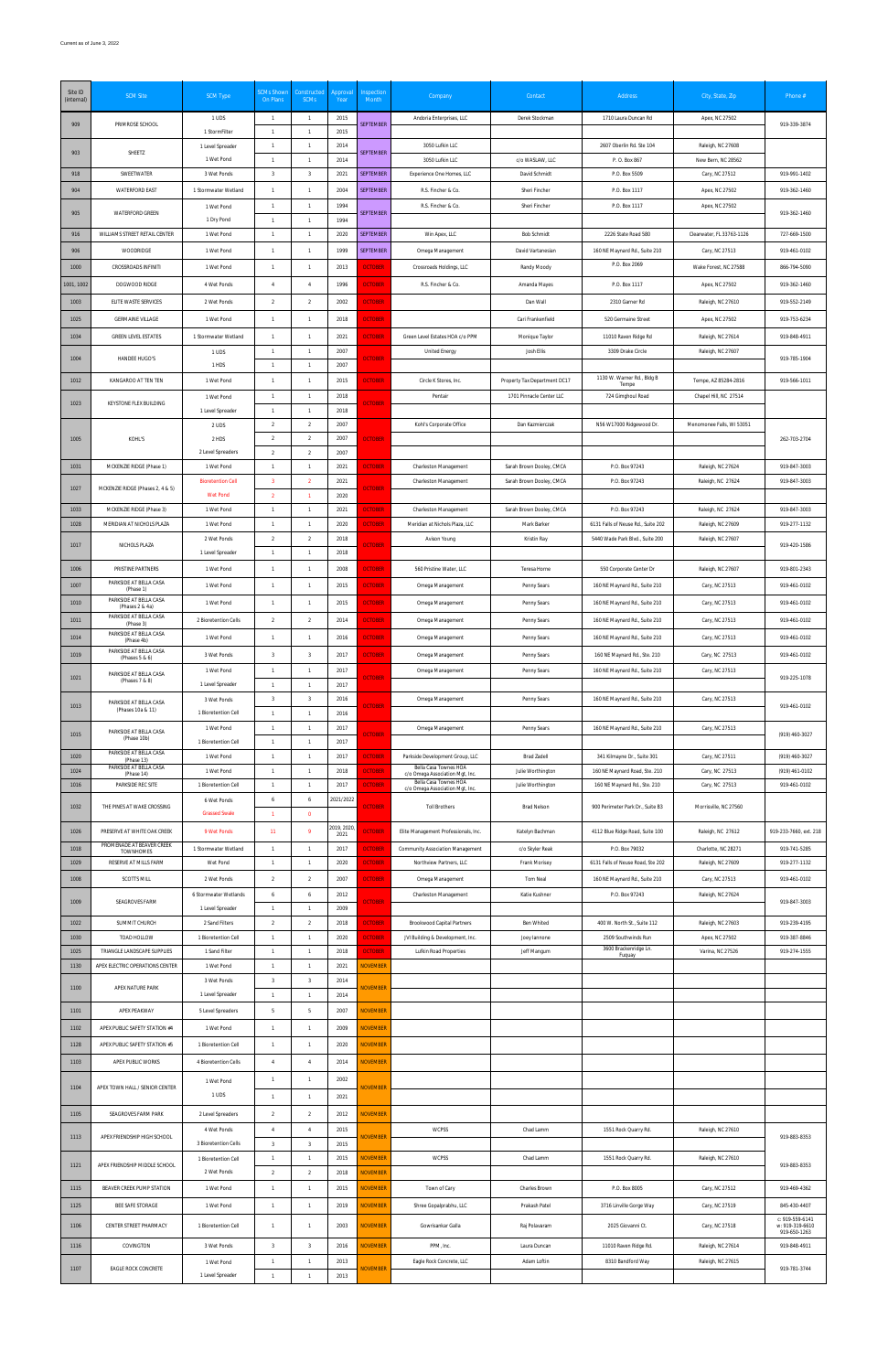| Site ID<br>(internal) | <b>SCM Site</b>                                                     | <b>SCM Type</b>                        | <b>SCMs Shown</b><br>On Plans    | Constructed<br>SCMs              | Approval<br>Year   | Inspection<br>Month                | Company                                                               | Contact                                              | Address                                                               | City, State, Zip                         | Phone #                            |
|-----------------------|---------------------------------------------------------------------|----------------------------------------|----------------------------------|----------------------------------|--------------------|------------------------------------|-----------------------------------------------------------------------|------------------------------------------------------|-----------------------------------------------------------------------|------------------------------------------|------------------------------------|
| 909                   | PRIMROSE SCHOOL                                                     | 1 UDS<br>1 StormFilter                 | $\overline{1}$<br>$\overline{1}$ | $\overline{1}$<br>$\overline{1}$ | 2015<br>2015       | <b>SEPTEMBER</b>                   | Andoria Enterprises, LLC                                              | Derek Stockman                                       | 1710 Laura Duncan Rd                                                  | Apex, NC 27502                           | 919-339-3874                       |
| 903                   | SHEETZ                                                              | 1 Level Spreader                       | $\overline{1}$                   | $\overline{1}$                   | 2014               | <b>SEPTEMBER</b>                   | 3050 Lufkin LLC                                                       |                                                      | 2607 Oberlin Rd. Ste 104                                              | Raleigh, NC 27608                        |                                    |
| 918                   | SWEETWATER                                                          | 1 Wet Pond<br>3 Wet Ponds              | $\overline{1}$<br>$\overline{3}$ | $\overline{1}$<br>$\overline{3}$ | 2014<br>2021       | <b>SEPTEMBER</b>                   | 3050 Lufkin LLC<br>Experience One Homes, LLC                          | c/o WASLAW, LLC<br>David Schmidt                     | P. O. Box 867<br>P.O. Box 5509                                        | New Bern, NC 28562<br>Cary, NC 27512     | 919-991-1402                       |
| 904                   | <b>WATERFORD EAST</b>                                               | 1 Stormwater Wetland                   | $\overline{1}$                   | $\overline{1}$                   | 2004               | <b>SEPTEMBER</b>                   | R.S. Fincher & Co.                                                    | Sheri Fincher                                        | P.O. Box 1117                                                         | Apex, NC 27502                           | 919-362-1460                       |
| 905                   | <b>WATERFORD GREEN</b>                                              | 1 Wet Pond                             | $\overline{1}$                   | $\overline{1}$                   | 1994               | <b>SEPTEMBER</b>                   | R.S. Fincher & Co.                                                    | Sheri Fincher                                        | P.O. Box 1117                                                         | Apex, NC 27502                           | 919-362-1460                       |
| 916                   | WILLIAMS STREET RETAIL CENTER                                       | 1 Dry Pond<br>1 Wet Pond               | $\overline{1}$<br>$\overline{1}$ | $\overline{1}$<br>$\overline{1}$ | 1994<br>2020       | <b>SEPTEMBER</b>                   | Win Apex, LLC                                                         | <b>Bob Schmidt</b>                                   | 2226 State Road 580                                                   | Clearwater, FL 33763-1126                | 727-669-1500                       |
| 906                   | WOODRIDGE                                                           | 1 Wet Pond                             | $\overline{1}$                   | $\overline{1}$                   | 1999               | <b>SEPTEMBER</b>                   | Omega Management                                                      | David Vartanesian                                    | 160 NE Maynard Rd., Suite 210                                         | Cary, NC 27513                           | 919-461-0102                       |
| 1000                  | CROSSROADS INFINITI                                                 | 1 Wet Pond                             | $\overline{1}$                   | $\overline{1}$                   | 2013               | <b>OCTOBER</b>                     | Crossroads Holdings, LLC                                              | Randy Moody                                          | P.O. Box 2069                                                         | Wake Forest, NC 27588                    | 866-794-5090                       |
| 1001, 1002            | DOGWOOD RIDGE                                                       | 4 Wet Ponds                            | $\overline{4}$                   | $\overline{4}$                   | 1996               | <b>OCTOBER</b>                     | R.S. Fincher & Co.                                                    | Amanda Mayes                                         | P.O. Box 1117                                                         | Apex, NC 27502                           | 919-362-1460                       |
| 1003                  | ELITE WASTE SERVICES                                                | 2 Wet Ponds                            | $\overline{2}$                   | $\overline{2}$                   | 2002               | <b>OCTOBER</b>                     |                                                                       | Dan Wall                                             | 2310 Garner Rd                                                        | Raleigh, NC 27610                        | 919-552-2149                       |
| 1025                  | <b>GERMAINE VILLAGE</b>                                             | 1 Wet Pond                             | $\overline{1}$                   | $\overline{1}$                   | 2018               | <b>OCTOBER</b>                     |                                                                       | Cari Frankenfield                                    | 520 Germaine Street                                                   | Apex, NC 27502                           | 919-753-6234                       |
| 1034                  | <b>GREEN LEVEL ESTATES</b>                                          | 1 Stormwater Wetland                   | $\overline{1}$                   | $\overline{1}$                   | 2021               | <b>OCTOBER</b>                     | Green Level Estates HOA c/o PPM                                       | Monique Taylor                                       | 11010 Raven Ridge Rd                                                  | Raleigh, NC 27614                        | 919-848-4911                       |
| 1004                  | HANDEE HUGO'S                                                       | 1 UDS<br>1 HDS                         | $\overline{1}$<br>$\overline{1}$ | $\overline{1}$<br>$\overline{1}$ | 2007<br>2007       | <b>OCTOBER</b>                     | United Energy                                                         | Josh Ellis                                           | 3309 Drake Circle                                                     | Raleigh, NC 27607                        | 919-785-1904                       |
| 1012                  | KANGAROO AT TEN TEN                                                 | 1 Wet Pond                             | $\overline{1}$                   | $\overline{1}$                   | 2015               | <b>OCTOBER</b>                     | Circle K Stores, Inc.                                                 | Property Tax Department DC17                         | 1130 W. Warner Rd., Bldg B<br>Tempe                                   | Tempe, AZ 85284-2816                     | 919-566-1011                       |
| 1023                  | KEYSTONE FLEX BUILDING                                              | 1 Wet Pond                             | $\overline{1}$                   | $\overline{1}$                   | 2018               | <b>OCTOBER</b>                     | Pentair                                                               | 1701 Pinnacle Center LLC                             | 724 Gimghoul Road                                                     | Chapel Hill, NC 27514                    |                                    |
|                       |                                                                     | 1 Level Spreader<br>2 UDS              | $\overline{1}$<br>$\overline{2}$ | $\overline{1}$<br>$\overline{2}$ | 2018<br>2007       |                                    | Kohl's Corporate Office                                               | Dan Kazmierczak                                      | N56 W17000 Ridgewood Dr.                                              | Menomonee Falls, WI 53051                |                                    |
| 1005                  | KOHL'S                                                              | 2 HDS                                  | $\overline{2}$                   | $\overline{2}$                   | 2007               | <b>OCTOBER</b>                     |                                                                       |                                                      |                                                                       |                                          | 262-703-2704                       |
|                       |                                                                     | 2 Level Spreaders                      | $\overline{2}$                   | $\overline{2}$                   | 2007               |                                    |                                                                       |                                                      |                                                                       |                                          |                                    |
| 1031                  | MCKENZIE RIDGE (Phase 1)                                            | 1 Wet Pond<br><b>Bioretention Cell</b> | $\overline{1}$<br>-3             | $\overline{1}$<br>$\overline{2}$ | 2021<br>2021       | <b>OCTOBER</b>                     | Charleston Management<br>Charleston Management                        | Sarah Brown Dooley, CMCA<br>Sarah Brown Dooley, CMCA | P.O. Box 97243<br>P.O. Box 97243                                      | Raleigh, NC 27624<br>Raleigh, NC 27624   | 919-847-3003<br>919-847-3003       |
| 1027                  | MCKENZIE RIDGE (Phases 2, 4 & 5)                                    | <b>Wet Pond</b>                        | $\overline{2}$                   | $\overline{1}$                   | 2020               | <b>OCTOBER</b>                     |                                                                       |                                                      |                                                                       |                                          |                                    |
| 1033                  | MCKENZIE RIDGE (Phase 3)                                            | 1 Wet Pond                             | $\overline{1}$                   | $\overline{1}$                   | 2021               | <b>OCTOBER</b>                     | Charleston Management                                                 | Sarah Brown Dooley, CMCA                             | P.O. Box 97243                                                        | Raleigh, NC 27624                        | 919-847-3003                       |
| 1028                  | MERIDIAN AT NICHOLS PLAZA                                           | 1 Wet Pond<br>2 Wet Ponds              | $\overline{1}$<br>$\overline{2}$ | $\overline{1}$<br>$\overline{2}$ | 2020<br>2018       | <b>OCTOBER</b>                     | Meridian at Nichols Plaza, LLC<br>Avison Young                        | Mark Barker<br>Kristin Ray                           | 6131 Falls of Neuse Rd., Suite 202<br>5440 Wade Park Blvd., Suite 200 | Raleigh, NC 27609<br>Raleigh, NC 27607   | 919-277-1132                       |
| 1017                  | NICHOLS PLAZA                                                       | 1 Level Spreader                       | $\overline{1}$                   | $\overline{1}$                   | 2018               | <b>OCTOBER</b>                     |                                                                       |                                                      |                                                                       |                                          | 919-420-1586                       |
| 1006                  | PRISTINE PARTNERS                                                   | 1 Wet Pond                             | $\overline{1}$                   | $\overline{1}$                   | 2008               | <b>OCTOBER</b>                     | 560 Pristine Water, LLC                                               | Teresa Horne                                         | 550 Corporate Center Dr                                               | Raleigh, NC 27607                        | 919-801-2343                       |
| 1007                  | PARKSIDE AT BELLA CASA<br>(Phase 1)                                 | 1 Wet Pond                             | $\overline{1}$                   | $\overline{1}$                   | 2015               | <b>OCTOBER</b>                     | Omega Management                                                      | Penny Sears                                          | 160 NE Maynard Rd., Suite 210                                         | Cary, NC 27513                           | 919-461-0102                       |
| 1010                  | PARKSIDE AT BELLA CASA<br>(Phases 2 & 4a)<br>PARKSIDE AT BELLA CASA | 1 Wet Pond                             | $\mathbf{1}$                     | $\overline{1}$                   | 2015               | <b>OCTOBER</b>                     | Omega Management                                                      | Penny Sears                                          | 160 NE Maynard Rd., Suite 210                                         | Cary, NC 27513                           | 919-461-0102                       |
| 1011                  | (Phase 3)<br>PARKSIDE AT BELLA CASA                                 | 2 Bioretention Cells                   | $\overline{2}$                   | $\overline{2}$                   | 2014               | <b>OCTOBER</b>                     | Omega Management                                                      | Penny Sears                                          | 160 NE Maynard Rd., Suite 210                                         | Cary, NC 27513                           | 919-461-0102                       |
| 1014                  | (Phase 4b)<br>PARKSIDE AT BELLA CASA                                | 1 Wet Pond                             | $\overline{1}$                   | $\overline{1}$                   | 2016               | <b>OCTOBER</b>                     | Omega Management                                                      | Penny Sears                                          | 160 NE Maynard Rd., Suite 210                                         | Cary, NC 27513                           | 919-461-0102                       |
| 1019                  | (Phases 5 & 6)                                                      | 3 Wet Ponds<br>1 Wet Pond              | $\overline{3}$<br>$\overline{1}$ | $\overline{3}$<br>$\overline{1}$ | 2017<br>2017       | <b>OCTOBER</b>                     | Omega Management<br>Omega Management                                  | Penny Sears<br>Penny Sears                           | 160 NE Maynard Rd., Ste. 210<br>160 NE Maynard Rd., Suite 210         | Cary, NC 27513<br>Cary, NC 27513         | 919-461-0102                       |
| 1021                  | PARKSIDE AT BELLA CASA<br>(Phases 7 & 8)                            | 1 Level Spreader                       | $\overline{1}$                   | $\overline{1}$                   | 2017               | <b>OCTOBER</b>                     |                                                                       |                                                      |                                                                       |                                          | 919-225-1078                       |
| 1013                  | PARKSIDE AT BELLA CASA<br>(Phases 10a & 11)                         | 3 Wet Ponds                            | $\overline{3}$                   | $\overline{3}$                   | 2016               | <b>OCTOBER</b>                     | Omega Management                                                      | Penny Sears                                          | 160 NE Maynard Rd., Suite 210                                         | Cary, NC 27513                           | 919-461-0102                       |
|                       |                                                                     | 1 Bioretention Cell<br>1 Wet Pond      | $\overline{1}$<br>$\overline{1}$ | $\overline{1}$<br>$\overline{1}$ | 2016<br>2017       |                                    | Omega Management                                                      | Penny Sears                                          | 160 NE Maynard Rd., Suite 210                                         | Cary, NC 27513                           |                                    |
| 1015                  | PARKSIDE AT BELLA CASA<br>(Phase 10b)                               | 1 Bioretention Cell                    | $\overline{1}$                   | $\overline{1}$                   | 2017               | <b>OCTOBER</b>                     |                                                                       |                                                      |                                                                       |                                          | (919) 460-3027                     |
| 1020                  | PARKSIDE AT BELLA CASA<br>(Phase 13)<br>PARKSIDE AT BELLA CASA      | 1 Wet Pond                             | $\overline{1}$                   | $\overline{1}$                   | 2017               | <b>OCTOBER</b>                     | Parkside Development Group, LLC<br>Bella Casa Townes HOA              | <b>Brad Zadell</b>                                   | 341 Kilmayne Dr., Suite 301                                           | Cary, NC 27511                           | (919) 460-3027                     |
| 1024<br>1016          | (Phase 14)<br>PARKSIDE REC SITE                                     | 1 Wet Pond<br>1 Bioretention Cell      | $\overline{1}$<br>$\overline{1}$ | $\overline{1}$<br>$\overline{1}$ | 2018<br>2017       | <b>OCTOBER</b><br><b>OCTOBER</b>   | c/o Omega Association Mgt, Inc.<br>Bella Casa Townes HOA              | Julie Worthington<br>Julie Worthington               | 160 NE Maynard Road, Ste. 210<br>160 NE Maynard Rd., Ste. 210         | Cary, NC 27513<br>Cary, NC 27513         | (919) 461-0102<br>919-461-0102     |
| 1032                  | THE PINES AT WAKE CROSSING                                          | 6 Wet Ponds                            | 6                                | $\boldsymbol{6}$                 | 2021/2022          | <b>OCTOBER</b>                     | c/o Omega Association Mgt, Inc.<br><b>Toll Brothers</b>               | Brad Nelson                                          | 900 Perimeter Park Dr., Suite B3                                      | Morrisville, NC 27560                    |                                    |
|                       |                                                                     | <b>Grassed Swale</b>                   | $\overline{1}$                   | $\overline{0}$                   |                    |                                    |                                                                       |                                                      |                                                                       |                                          |                                    |
| 1026                  | PRESERVE AT WHITE OAK CREEK<br>PROMENADE AT BEAVER CREEK            | 9 Wet Ponds                            | 11                               | $\overline{9}$                   | 2019, 2020<br>2021 | <b>OCTOBER</b>                     | Elite Management Professionals, Inc.                                  | Katelyn Bachman                                      | 4112 Blue Ridge Road, Suite 100                                       | Raleigh, NC 27612                        | 919-233-7660, ext. 218             |
| 1018<br>1029          | TOWNHOMES<br>RESERVE AT MILLS FARM                                  | 1 Stormwater Wetland<br>Wet Pond       | $\overline{1}$<br>$\overline{1}$ | $\overline{1}$<br>$\overline{1}$ | 2017<br>2020       | <b>OCTOBER</b><br><b>OCTOBER</b>   | Community Association Management<br>Northview Partners, LLC           | c/o Skyler Reak<br>Frank Morisey                     | P.O. Box 79032<br>6131 Falls of Neuse Road, Ste 202                   | Charlotte, NC 28271<br>Raleigh, NC 27609 | 919-741-5285<br>919-277-1132       |
| 1008                  | <b>SCOTTS MILL</b>                                                  | 2 Wet Ponds                            | $\overline{2}$                   | $\overline{2}$                   | 2007               | <b>OCTOBER</b>                     | Omega Management                                                      | Tom Neal                                             | 160 NE Maynard Rd., Suite 210                                         | Cary, NC 27513                           | 919-461-0102                       |
| 1009                  | SEAGROVES FARM                                                      | 6 Stormwater Wetlands                  | 6                                | 6                                | 2012               | <b>OCTOBER</b>                     | Charleston Management                                                 | Katie Kushner                                        | P.O. Box 97243                                                        | Raleigh, NC 27624                        | 919-847-3003                       |
|                       |                                                                     | 1 Level Spreader                       | $\overline{1}$                   | $\overline{1}$                   | 2009               |                                    |                                                                       |                                                      |                                                                       |                                          |                                    |
| 1022<br>1030          | SUMMIT CHURCH<br>TOAD HOLLOW                                        | 2 Sand Filters<br>1 Bioretention Cell  | $\overline{2}$<br>$\overline{1}$ | $\overline{2}$<br>$\overline{1}$ | 2018<br>2020       | <b>OCTOBER</b><br><b>OCTOBER</b>   | <b>Brookwood Capital Partners</b><br>JVI Building & Development, Inc. | Ben Whited<br>Joey lannone                           | 400 W. North St., Suite 112<br>2509 Southwinds Run                    | Raleigh, NC 27603<br>Apex, NC 27502      | 919-239-4195<br>919-387-8846       |
| 1025                  | TRIANGLE LANDSCAPE SUPPLIES                                         | 1 Sand Filter                          | $\overline{1}$                   | $\overline{1}$                   | 2018               | <b>OCTOBER</b>                     | Lufkin Road Properties                                                | Jeff Mangum                                          | 3600 Brackenridge Ln.<br>Fuquay                                       | Varina, NC 27526                         | 919-274-1555                       |
| 1130                  | APEX ELECTRIC OPERATIONS CENTER                                     | 1 Wet Pond                             | $\overline{1}$                   | $\overline{1}$                   | 2021               | <b>NOVEMBER</b>                    |                                                                       |                                                      |                                                                       |                                          |                                    |
| 1100                  | APEX NATURE PARK                                                    | 3 Wet Ponds<br>1 Level Spreader        | $\overline{3}$<br>$\overline{1}$ | $\overline{3}$<br>$\overline{1}$ | 2014<br>2014       | <b>NOVEMBER</b>                    |                                                                       |                                                      |                                                                       |                                          |                                    |
| 1101                  | APEX PEAKWAY                                                        | 5 Level Spreaders                      | 5                                | $5\phantom{.0}$                  | 2007               | <b>NOVEMBER</b>                    |                                                                       |                                                      |                                                                       |                                          |                                    |
| 1102                  | APEX PUBLIC SAFETY STATION #4                                       | 1 Wet Pond                             | $\overline{1}$                   | $\overline{1}$                   | 2009               | <b>NOVEMBER</b>                    |                                                                       |                                                      |                                                                       |                                          |                                    |
| 1128                  | APEX PUBLIC SAFETY STATION #5                                       | 1 Bioretention Cell                    | $\overline{1}$                   | $\overline{1}$                   | 2020               | <b>NOVEMBER</b>                    |                                                                       |                                                      |                                                                       |                                          |                                    |
| 1103                  | APEX PUBLIC WORKS                                                   | 4 Bioretention Cells                   | $\overline{4}$                   | $\overline{4}$                   | 2014               | <b>NOVEMBER</b>                    |                                                                       |                                                      |                                                                       |                                          |                                    |
| 1104                  | APEX TOWN HALL / SENIOR CENTER                                      | 1 Wet Pond                             | $\overline{1}$                   | $\mathbf{1}$                     | 2002               | <b>NOVEMBER</b>                    |                                                                       |                                                      |                                                                       |                                          |                                    |
| 1105                  | SEAGROVES FARM PARK                                                 | 1 UDS<br>2 Level Spreaders             | $\overline{1}$<br>$\overline{2}$ | $\overline{1}$<br>$\overline{2}$ | 2021<br>2012       | <b>NOVEMBER</b>                    |                                                                       |                                                      |                                                                       |                                          |                                    |
|                       |                                                                     | 4 Wet Ponds                            | $\overline{4}$                   | $\overline{4}$                   | 2015               |                                    | <b>WCPSS</b>                                                          | Chad Lamm                                            | 1551 Rock Quarry Rd.                                                  | Raleigh, NC 27610                        |                                    |
| 1113                  | APEX FRIENDSHIP HIGH SCHOOL                                         | 3 Bioretention Cells                   | $\overline{3}$                   | $\overline{3}$                   | 2015               | <b>NOVEMBER</b>                    |                                                                       |                                                      |                                                                       |                                          | 919-883-8353                       |
| 1121                  | APEX FRIENDSHIP MIDDLE SCHOOL                                       | 1 Bioretention Cell                    | $\overline{1}$                   | $\overline{1}$                   | 2015               | <b>NOVEMBER</b>                    | WCPSS                                                                 | Chad Lamm                                            | 1551 Rock Quarry Rd.                                                  | Raleigh, NC 27610                        | 919-883-8353                       |
| 1115                  | BEAVER CREEK PUMP STATION                                           | 2 Wet Ponds<br>1 Wet Pond              | $\overline{2}$<br>$\overline{1}$ | $\overline{2}$<br>$\overline{1}$ | 2018<br>2015       | <b>NOVEMBER</b><br><b>NOVEMBER</b> | Town of Cary                                                          | Charles Brown                                        | P.O. Box 8005                                                         | Cary, NC 27512                           | 919-469-4362                       |
| 1125                  | BEE SAFE STORAGE                                                    | 1 Wet Pond                             | $\mathbf{1}$                     | $\overline{1}$                   | 2019               | <b>NOVEMBER</b>                    | Shree Gopalprabhu, LLC                                                | Prakash Patel                                        | 3716 Linville Gorge Way                                               | Cary, NC 27519                           | 845-430-4407                       |
| 1106                  | CENTER STREET PHARMACY                                              | 1 Bioretention Cell                    | $\overline{1}$                   | $\overline{1}$                   | 2003               | <b>NOVEMBER</b>                    | Gowrisankar Galla                                                     | Raj Polavaram                                        | 2025 Giovanni Ct.                                                     | Cary, NC 27518                           | c: 919-559-6141<br>w: 919-319-6610 |
| 1116                  | COVINGTON                                                           | 3 Wet Ponds                            | $\overline{3}$                   | $\overline{3}$                   | 2016               | <b>NOVEMBER</b>                    | PPM, Inc.                                                             | Laura Duncan                                         | 11010 Raven Ridge Rd.                                                 | Raleigh, NC 27614                        | 919-650-1263<br>919-848-4911       |
|                       |                                                                     | 1 Wet Pond                             | $\overline{1}$                   | $\overline{1}$                   | 2013               |                                    | Eagle Rock Concrete, LLC                                              | Adam Loftin                                          | 8310 Bandford Way                                                     | Raleigh, NC 27615                        |                                    |
| 1107                  | EAGLE ROCK CONCRETE                                                 | 1 Level Spreader                       | $\overline{1}$                   | $\overline{1}$                   | 2013               | <b>NOVEMBER</b>                    |                                                                       |                                                      |                                                                       |                                          | 919-781-3744                       |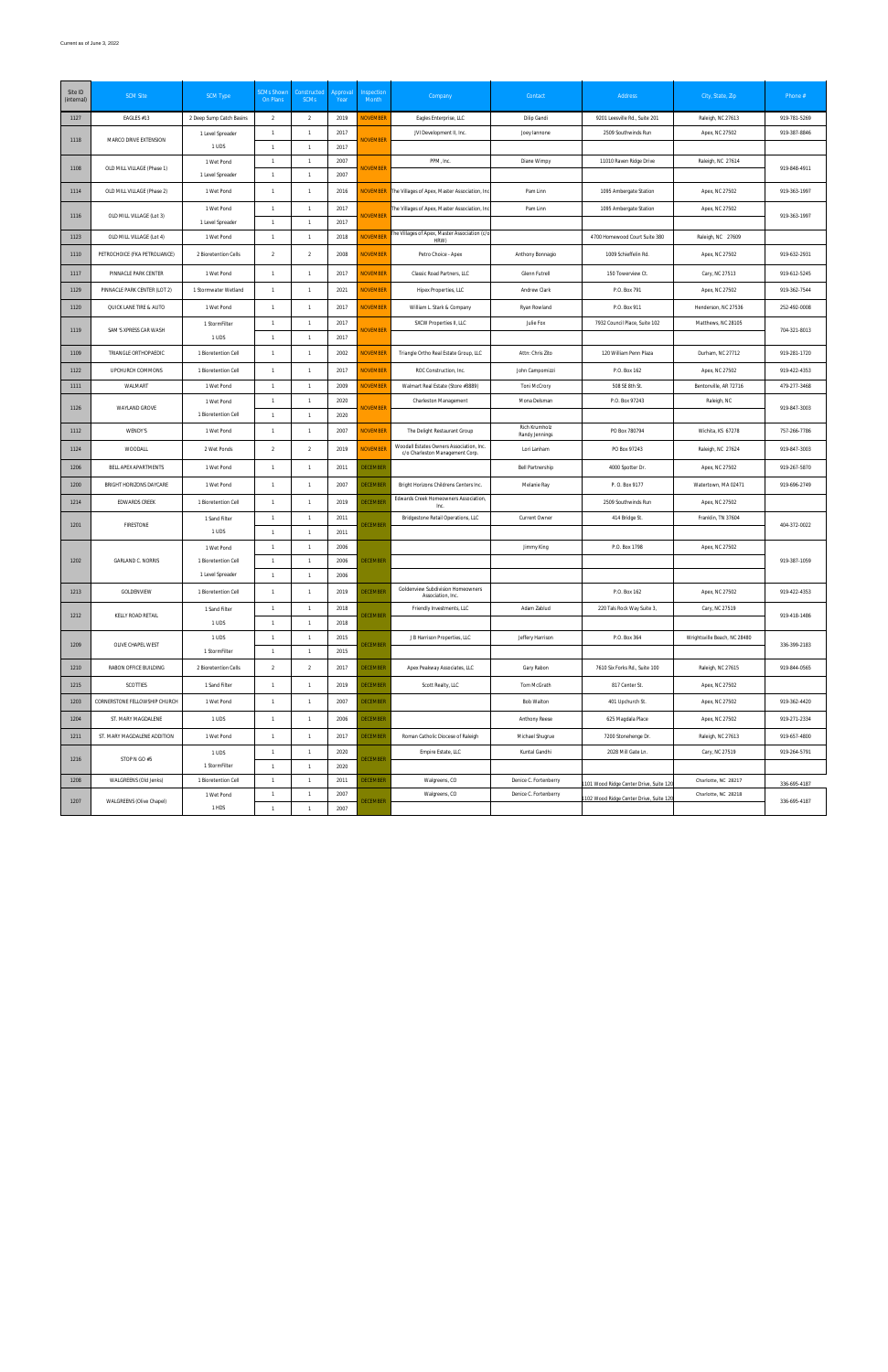| Site ID<br>(internal) | <b>SCM Site</b>               | <b>SCM Type</b>          | <b>SCMs Shown</b><br>On Plans | Constructed<br><b>SCMs</b> | Approval<br>Year | Inspection<br>Month | Company                                                                     | Contact                         | Address                                | City, State, Zip             | Phone #      |
|-----------------------|-------------------------------|--------------------------|-------------------------------|----------------------------|------------------|---------------------|-----------------------------------------------------------------------------|---------------------------------|----------------------------------------|------------------------------|--------------|
| 1127                  | EAGLES #13                    | 2 Deep Sump Catch Basins | 2                             | $\overline{2}$             | 2019             | <b>NOVEMBER</b>     | Eagles Enterprise, LLC                                                      | Dilip Gandi                     | 9201 Leesville Rd., Suite 201          | Raleigh, NC 27613            | 919-781-5269 |
| 1118                  | MARCO DRIVE EXTENSION         | 1 Level Spreader         | $\overline{1}$                | $\overline{1}$             | 2017             | <b>NOVEMBER</b>     | JVI Development II, Inc.                                                    | Joey lannone                    | 2509 Southwinds Run                    | Apex, NC 27502               | 919-387-8846 |
|                       |                               | 1 UDS                    | $\overline{1}$                | $\mathbf{1}$               | 2017             |                     |                                                                             |                                 |                                        |                              |              |
| 1108                  | OLD MILL VILLAGE (Phase 1)    | 1 Wet Pond               |                               | $\mathbf{1}$               | 2007             | <b>NOVEMBER</b>     | PPM, Inc.                                                                   | Diane Wimpy                     | 11010 Raven Ridge Drive                | Raleigh, NC 27614            | 919-848-4911 |
|                       |                               | 1 Level Spreader         | $\overline{1}$                | $\mathbf{1}$               | 2007             |                     |                                                                             |                                 |                                        |                              |              |
| 1114                  | OLD MILL VILLAGE (Phase 2)    | 1 Wet Pond               | $\mathbf{1}$                  | $\mathbf{1}$               | 2016             | <b>NOVEMBER</b>     | The Villages of Apex, Master Association, Inc                               | Pam Linn                        | 1095 Ambergate Station                 | Apex, NC 27502               | 919-363-1997 |
| 1116                  | OLD MILL VILLAGE (Lot 3)      | 1 Wet Pond               | $\overline{1}$                | $\mathbf{1}$               | 2017             | <b>NOVEMBER</b>     | The Villages of Apex, Master Association, Inc                               | Pam Linn                        | 1095 Ambergate Station                 | Apex, NC 27502               | 919-363-1997 |
|                       |                               | 1 Level Spreader         | $\overline{1}$                | $\overline{1}$             | 2017             |                     |                                                                             |                                 |                                        |                              |              |
| 1123                  | OLD MILL VILLAGE (Lot 4)      | 1 Wet Pond               | $\mathbf{1}$                  | $\mathbf{1}$               | 2018             | <b>NOVEMBER</b>     | The Villages of Apex, Master Association (c/c<br>HRW)                       |                                 | 4700 Homewood Court Suite 380          | Raleigh, NC 27609            |              |
| 1110                  | PETROCHOICE (FKA PETROLIANCE) | 2 Bioretention Cells     | 2                             | $\overline{2}$             | 2008             | <b>NOVEMBER</b>     | Petro Choice - Apex                                                         | Anthony Bonnagio                | 1009 Schieffelin Rd.                   | Apex, NC 27502               | 919-632-2931 |
| 1117                  | PINNACLE PARK CENTER          | 1 Wet Pond               | $\mathbf{1}$                  | $\overline{1}$             | 2017             | <b>NOVEMBER</b>     | Classic Road Partners, LLC                                                  | Glenn Futrell                   | 150 Towerview Ct.                      | Cary, NC 27513               | 919-612-5245 |
| 1129                  | PINNACLE PARK CENTER (LOT 2)  | 1 Stormwater Wetland     | $\overline{1}$                | $\mathbf{1}$               | 2021             | <b>NOVEMBER</b>     | Hipex Properties, LLC                                                       | Andrew Clark                    | P.O. Box 791                           | Apex, NC 27502               | 919-362-7544 |
| 1120                  | QUICK LANE TIRE & AUTO        | 1 Wet Pond               | $\overline{1}$                | $\mathbf{1}$               | 2017             | <b>NOVEMBER</b>     | William L. Stark & Company                                                  | Ryan Rowland                    | P.O. Box 911                           | Henderson, NC 27536          | 252-492-0008 |
| 1119                  | SAM'S XPRESS CAR WASH         | 1 StormFilter            | $\overline{1}$                | $\mathbf{1}$               | 2017             | <b>NOVEMBER</b>     | SXCW Properties II, LLC                                                     | Julie Fox                       | 7932 Council Place, Suite 102          | Matthews, NC 28105           | 704-321-8013 |
|                       |                               | 1 UDS                    | $\mathbf{1}$                  | $\mathbf{1}$               | 2017             |                     |                                                                             |                                 |                                        |                              |              |
| 1109                  | TRIANGLE ORTHOPAEDIC          | 1 Bioretention Cell      | $\mathbf{1}$                  | $\overline{1}$             | 2002             | <b>NOVEMBER</b>     | Triangle Ortho Real Estate Group, LLC                                       | Attn: Chris Zito                | 120 William Penn Plaza                 | Durham, NC 27712             | 919-281-1720 |
| 1122                  | UPCHURCH COMMONS              | 1 Bioretention Cell      | $\overline{1}$                | $\mathbf{1}$               | 2017             | <b>NOVEMBER</b>     | ROC Construction, Inc.                                                      | John Campomizzi                 | P.O. Box 162                           | Apex, NC 27502               | 919-422-4353 |
| 1111                  | WALMART                       | 1 Wet Pond               | $\overline{1}$                | $\mathbf{1}$               | 2009             | <b>NOVEMBER</b>     | Walmart Real Estate (Store #3889)                                           | Toni McCrory                    | 508 SE 8th St.                         | Bentonville, AR 72716        | 479-277-3468 |
| 1126                  | WAYLAND GROVE                 | 1 Wet Pond               | $\overline{1}$                | $\overline{1}$             | 2020             | <b>NOVEMBER</b>     | Charleston Management                                                       | Mona Delsman                    | P.O. Box 97243                         | Raleigh, NC                  | 919-847-3003 |
|                       |                               | 1 Bioretention Cell      | $\overline{1}$                | $\overline{1}$             | 2020             |                     |                                                                             |                                 |                                        |                              |              |
| 1112                  | WENDY'S                       | 1 Wet Pond               | $\overline{1}$                | $\mathbf{1}$               | 2007             | <b>NOVEMBER</b>     | The Delight Restaurant Group                                                | Rich Krumholz<br>Randy Jennings | PO Box 780794                          | Wichita, KS 67278            | 757-266-7786 |
| 1124                  | WOODALL                       | 2 Wet Ponds              | 2                             | $\overline{2}$             | 2019             | <b>NOVEMBER</b>     | Woodall Estates Owners Association, Inc.<br>c/o Charleston Management Corp. | Lori Lanham                     | PO Box 97243                           | Raleigh, NC 27624            | 919-847-3003 |
| 1206                  | BELL APEX APARTMENTS          | 1 Wet Pond               | $\mathbf{1}$                  | $\overline{1}$             | 2011             | <b>DECEMBER</b>     |                                                                             | <b>Bell Partnership</b>         | 4000 Spotter Dr.                       | Apex, NC 27502               | 919-267-5870 |
| 1200                  | BRIGHT HORIZONS DAYCARE       | 1 Wet Pond               | $\overline{1}$                | $\mathbf{1}$               | 2007             | <b>DECEMBER</b>     | Bright Horizons Childrens Centers Inc.                                      | Melanie Ray                     | P.O. Box 9177                          | Watertown, MA 02471          | 919-696-2749 |
| 1214                  | EDWARDS CREEK                 | 1 Bioretention Cell      | $\overline{1}$                | $\overline{1}$             | 2019             | <b>DECEMBER</b>     | Edwards Creek Homeowners Association,<br>Inc                                |                                 | 2509 Southwinds Run                    | Apex, NC 27502               |              |
| 1201                  | <b>FIRESTONE</b>              | 1 Sand Filter            | $\overline{1}$                | $\mathbf{1}$               | 2011             | <b>DECEMBER</b>     | Bridgestone Retail Operations, LLC                                          | Current Owner                   | 414 Bridge St.                         | Franklin, TN 37604           | 404-372-0022 |
|                       |                               | 1 UDS                    | $\overline{1}$                | $\overline{1}$             | 2011             |                     |                                                                             |                                 |                                        |                              |              |
|                       |                               | 1 Wet Pond               | $\overline{1}$                | $\mathbf{1}$               | 2006             |                     |                                                                             | Jimmy King                      | P.O. Box 1798                          | Apex, NC 27502               |              |
| 1202                  | <b>GARLAND C. NORRIS</b>      | 1 Bioretention Cell      | $\overline{1}$                | $\overline{1}$             | 2006             | <b>DECEMBER</b>     |                                                                             |                                 |                                        |                              | 919-387-1059 |
|                       |                               | 1 Level Spreader         | $\mathbf{1}$                  | $\mathbf{1}$               | 2006             |                     |                                                                             |                                 |                                        |                              |              |
| 1213                  | GOLDENVIEW                    | 1 Bioretention Cell      | $\mathbf{1}$                  | $\overline{1}$             | 2019             | <b>DECEMBER</b>     | Goldenview Subdivision Homeowners<br>Association, Inc.                      |                                 | P.O. Box 162                           | Apex, NC 27502               | 919-422-4353 |
| 1212                  | KELLY ROAD RETAIL             | 1 Sand Filter            | $\mathbf{1}$                  | $\mathbf{1}$               | 2018             | DECEMBER            | Friendly Investments, LLC                                                   | Adam Zablud                     | 220 Tals Rock Way Suite 3,             | Cary, NC 27519               | 919-418-1486 |
|                       |                               | 1 UDS                    | $\mathbf{1}$                  | $\mathbf{1}$               | 2018             |                     |                                                                             |                                 |                                        |                              |              |
| 1209                  | OLIVE CHAPEL WEST             | 1 UDS                    | $\mathbf{1}$                  | $\mathbf{1}$               | 2015             | <b>DECEMBER</b>     | J B Harrison Properties, LLC                                                | Jeffery Harrison                | P.O. Box 364                           | Wrightsville Beach, NC 28480 | 336-399-2183 |
|                       |                               | 1 StormFilter            | $\overline{1}$                | $\mathbf{1}$               | 2015             |                     |                                                                             |                                 |                                        |                              |              |
| 1210                  | RABON OFFICE BUILDING         | 2 Bioretention Cells     | $\overline{2}$                | $\overline{2}$             | 2017             | <b>DECEMBER</b>     | Apex Peakway Associates, LLC                                                | Gary Rabon                      | 7610 Six Forks Rd., Suite 100          | Raleigh, NC 27615            | 919-844-0565 |
| 1215                  | SCOTTIES                      | 1 Sand Filter            | $\mathbf{1}$                  | $\mathbf{1}$               | 2019             | DECEMBER            | Scott Realty, LLC                                                           | Tom McGrath                     | 817 Center St.                         | Apex, NC 27502               |              |
| 1203                  | CORNERSTONE FELLOWSHIP CHURCH | 1 Wet Pond               | $\mathbf{1}$                  | $\mathbf{1}$               | 2007             | <b>DECEMBER</b>     |                                                                             | Bob Walton                      | 401 Upchurch St.                       | Apex, NC 27502               | 919-362-4420 |
| 1204                  | ST. MARY MAGDALENE            | 1 UDS                    | $\overline{1}$                | $\mathbf{1}$               | 2006             | <b>DECEMBER</b>     |                                                                             | Anthony Reese                   | 625 Magdala Place                      | Apex, NC 27502               | 919-271-2334 |
| 1211                  | ST. MARY MAGDALENE ADDITION   | 1 Wet Pond               | $\mathbf{1}$                  | $\mathbf{1}$               | 2017             | <b>DECEMBER</b>     | Roman Catholic Diocese of Raleigh                                           | Michael Shugrue                 | 7200 Stonehenge Dr.                    | Raleigh, NC 27613            | 919-657-4800 |
| 1216                  | STOP N GO #5                  | 1 UDS                    | $\mathbf{1}$                  | $\mathbf{1}$               | 2020             | <b>DECEMBER</b>     | Empire Estate, LLC                                                          | Kuntal Gandhi                   | 2028 Mill Gate Ln.                     | Cary, NC 27519               | 919-264-5791 |
|                       |                               | 1 StormFilter            | $\overline{1}$                | $\mathbf{1}$               | 2020             |                     |                                                                             |                                 |                                        |                              |              |
| 1208                  | WALGREENS (Old Jenks)         | 1 Bioretention Cell      | $\mathbf{1}$                  | $\mathbf{1}$               | 2011             | <b>DECEMBER</b>     | Walgreens, CO                                                               | Denice C. Fortenberry           | 101 Wood Ridge Center Drive, Suite 120 | Charlotte, NC 28217          | 336-695-4187 |
| 1207                  | WALGREENS (Olive Chapel)      | 1 Wet Pond               | $\mathbf{1}$                  | $\mathbf{1}$               | 2007             | <b>DECEMBER</b>     | Walgreens, CO                                                               | Denice C. Fortenberry           | 102 Wood Ridge Center Drive, Suite 120 | Charlotte, NC 28218          | 336-695-4187 |
|                       |                               | 1 HDS                    | $\mathbf{1}$                  | $\mathbf{1}$               | 2007             |                     |                                                                             |                                 |                                        |                              |              |